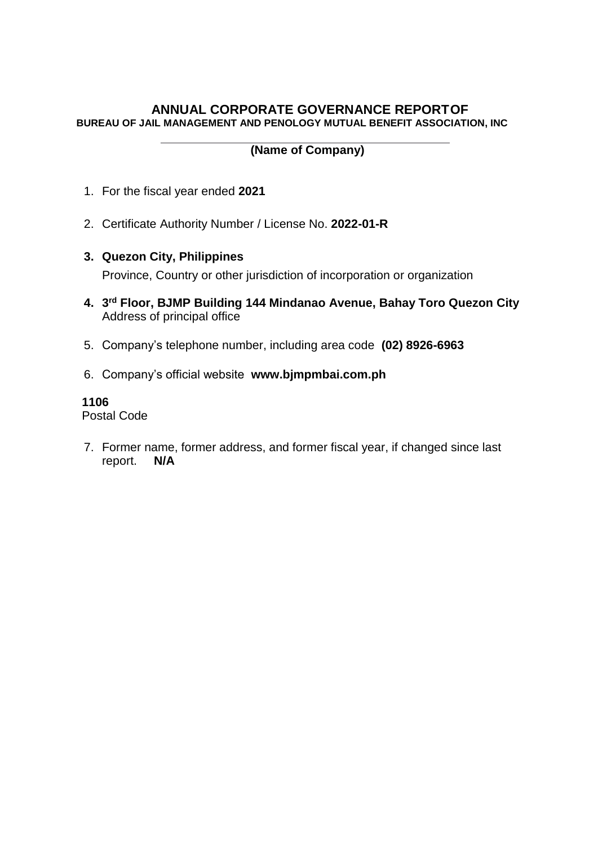## **ANNUAL CORPORATE GOVERNANCE REPORTOF BUREAU OF JAIL MANAGEMENT AND PENOLOGY MUTUAL BENEFIT ASSOCIATION, INC**

# **(Name of Company)**

- 1. For the fiscal year ended **2021**
- 2. Certificate Authority Number / License No. **2022-01-R**
- **3. Quezon City, Philippines**

Province, Country or other jurisdiction of incorporation or organization

- **4. 3 rd Floor, BJMP Building 144 Mindanao Avenue, Bahay Toro Quezon City** Address of principal office
- 5. Company's telephone number, including area code **(02) 8926-6963**
- 6. Company's official website **www.bjmpmbai.com.ph**

## **1106**

Postal Code

7. Former name, former address, and former fiscal year, if changed since last report. **N/A**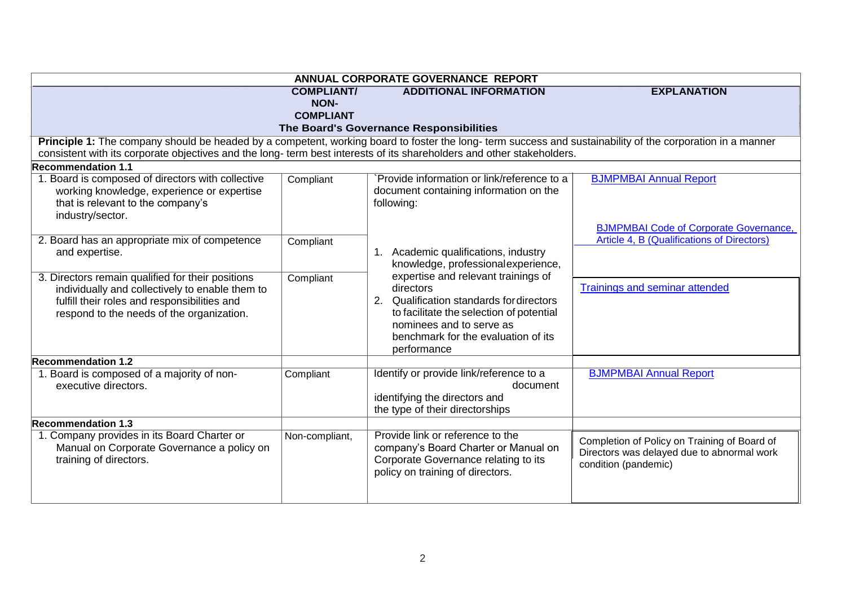| ANNUAL CORPORATE GOVERNANCE REPORT                                                                                                                                                                                                                                                  |                                  |                                                                                                                                                                                                                            |                                                                                                                    |
|-------------------------------------------------------------------------------------------------------------------------------------------------------------------------------------------------------------------------------------------------------------------------------------|----------------------------------|----------------------------------------------------------------------------------------------------------------------------------------------------------------------------------------------------------------------------|--------------------------------------------------------------------------------------------------------------------|
|                                                                                                                                                                                                                                                                                     | <b>COMPLIANT/</b><br><b>NON-</b> | <b>ADDITIONAL INFORMATION</b>                                                                                                                                                                                              | <b>EXPLANATION</b>                                                                                                 |
|                                                                                                                                                                                                                                                                                     | <b>COMPLIANT</b>                 |                                                                                                                                                                                                                            |                                                                                                                    |
|                                                                                                                                                                                                                                                                                     |                                  | The Board's Governance Responsibilities                                                                                                                                                                                    |                                                                                                                    |
| Principle 1: The company should be headed by a competent, working board to foster the long-term success and sustainability of the corporation in a manner<br>consistent with its corporate objectives and the long- term best interests of its shareholders and other stakeholders. |                                  |                                                                                                                                                                                                                            |                                                                                                                    |
| <b>Recommendation 1.1</b>                                                                                                                                                                                                                                                           |                                  |                                                                                                                                                                                                                            |                                                                                                                    |
| 1. Board is composed of directors with collective<br>working knowledge, experience or expertise<br>that is relevant to the company's<br>industry/sector.                                                                                                                            | Compliant                        | Provide information or link/reference to a<br>document containing information on the<br>following:                                                                                                                         | <b>BJMPMBAI Annual Report</b>                                                                                      |
|                                                                                                                                                                                                                                                                                     |                                  |                                                                                                                                                                                                                            | <b>BJMPMBAI Code of Corporate Governance,</b>                                                                      |
| 2. Board has an appropriate mix of competence<br>and expertise.                                                                                                                                                                                                                     | Compliant                        | 1. Academic qualifications, industry<br>knowledge, professional experience,                                                                                                                                                | Article 4, B (Qualifications of Directors)                                                                         |
| 3. Directors remain qualified for their positions<br>individually and collectively to enable them to<br>fulfill their roles and responsibilities and<br>respond to the needs of the organization.                                                                                   | Compliant                        | expertise and relevant trainings of<br>directors<br>2. Qualification standards for directors<br>to facilitate the selection of potential<br>nominees and to serve as<br>benchmark for the evaluation of its<br>performance | Trainings and seminar attended                                                                                     |
| <b>Recommendation 1.2</b>                                                                                                                                                                                                                                                           |                                  |                                                                                                                                                                                                                            |                                                                                                                    |
| 1. Board is composed of a majority of non-<br>executive directors.                                                                                                                                                                                                                  | Compliant                        | Identify or provide link/reference to a<br>document<br>identifying the directors and<br>the type of their directorships                                                                                                    | <b>BJMPMBAI Annual Report</b>                                                                                      |
| <b>Recommendation 1.3</b>                                                                                                                                                                                                                                                           |                                  |                                                                                                                                                                                                                            |                                                                                                                    |
| 1. Company provides in its Board Charter or<br>Manual on Corporate Governance a policy on<br>training of directors.                                                                                                                                                                 | Non-compliant,                   | Provide link or reference to the<br>company's Board Charter or Manual on<br>Corporate Governance relating to its<br>policy on training of directors.                                                                       | Completion of Policy on Training of Board of<br>Directors was delayed due to abnormal work<br>condition (pandemic) |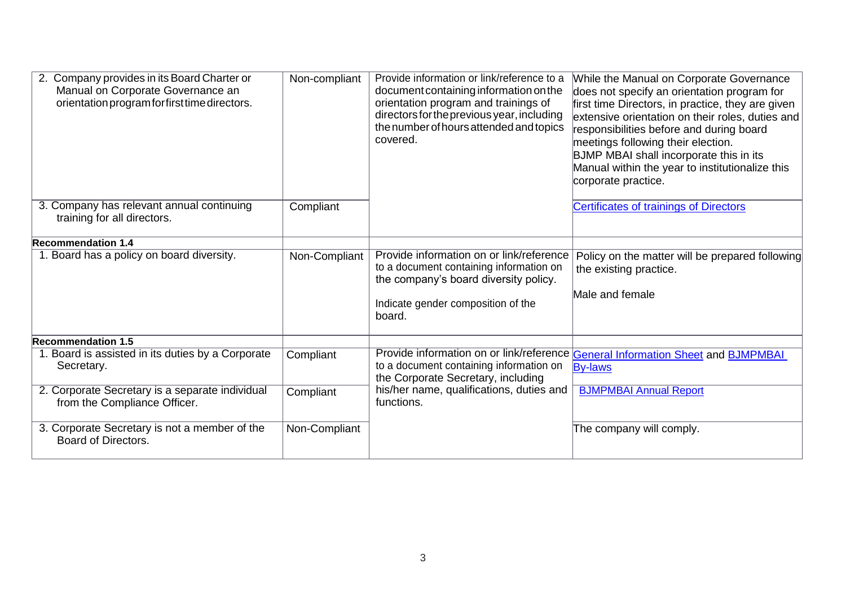| 2. Company provides in its Board Charter or<br>Manual on Corporate Governance an<br>orientation program for first time directors. | Non-compliant | Provide information or link/reference to a<br>document containing information on the<br>orientation program and trainings of<br>directors for the previous year, including<br>the number of hours attended and topics<br>covered. | While the Manual on Corporate Governance<br>does not specify an orientation program for<br>first time Directors, in practice, they are given<br>extensive orientation on their roles, duties and<br>responsibilities before and during board<br>meetings following their election.<br>BJMP MBAI shall incorporate this in its<br>Manual within the year to institutionalize this<br>corporate practice. |
|-----------------------------------------------------------------------------------------------------------------------------------|---------------|-----------------------------------------------------------------------------------------------------------------------------------------------------------------------------------------------------------------------------------|---------------------------------------------------------------------------------------------------------------------------------------------------------------------------------------------------------------------------------------------------------------------------------------------------------------------------------------------------------------------------------------------------------|
| 3. Company has relevant annual continuing<br>training for all directors.                                                          | Compliant     |                                                                                                                                                                                                                                   | <b>Certificates of trainings of Directors</b>                                                                                                                                                                                                                                                                                                                                                           |
| <b>Recommendation 1.4</b>                                                                                                         |               |                                                                                                                                                                                                                                   |                                                                                                                                                                                                                                                                                                                                                                                                         |
| 1. Board has a policy on board diversity.                                                                                         | Non-Compliant | Provide information on or link/reference<br>to a document containing information on<br>the company's board diversity policy.<br>Indicate gender composition of the<br>board.                                                      | Policy on the matter will be prepared following<br>the existing practice.<br>Male and female                                                                                                                                                                                                                                                                                                            |
| <b>Recommendation 1.5</b>                                                                                                         |               |                                                                                                                                                                                                                                   |                                                                                                                                                                                                                                                                                                                                                                                                         |
| 1. Board is assisted in its duties by a Corporate<br>Secretary.                                                                   | Compliant     | Provide information on or link/reference<br>to a document containing information on<br>the Corporate Secretary, including                                                                                                         | <b>General Information Sheet and BJMPMBAI</b><br><b>By-laws</b>                                                                                                                                                                                                                                                                                                                                         |
| 2. Corporate Secretary is a separate individual<br>from the Compliance Officer.                                                   | Compliant     | his/her name, qualifications, duties and<br>functions.                                                                                                                                                                            | <b>BJMPMBAI Annual Report</b>                                                                                                                                                                                                                                                                                                                                                                           |
| 3. Corporate Secretary is not a member of the<br>Board of Directors.                                                              | Non-Compliant |                                                                                                                                                                                                                                   | The company will comply.                                                                                                                                                                                                                                                                                                                                                                                |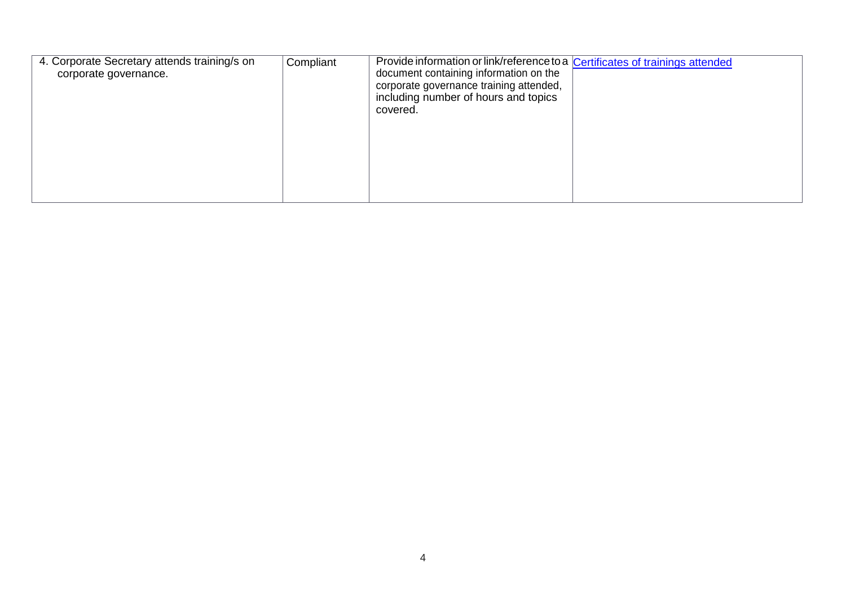| 4. Corporate Secretary attends training/s on<br>corporate governance. | Compliant | Provide information or link/reference to a Certificates of trainings attended<br>document containing information on the<br>corporate governance training attended,<br>including number of hours and topics<br>covered. |  |
|-----------------------------------------------------------------------|-----------|------------------------------------------------------------------------------------------------------------------------------------------------------------------------------------------------------------------------|--|
|                                                                       |           |                                                                                                                                                                                                                        |  |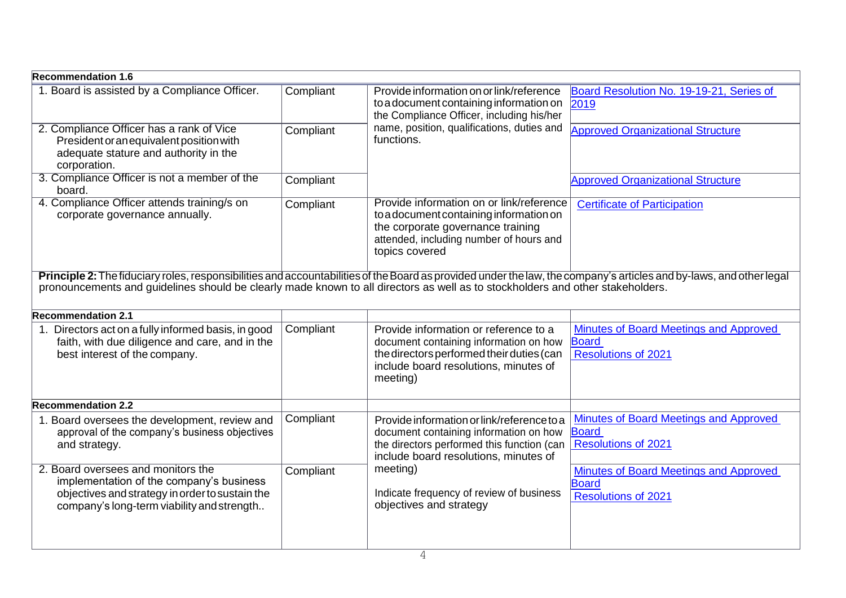| <b>Recommendation 1.6</b>                                                                                                                                                                                                                                                                             |           |                                                                                                                                                                                       |                                                                                      |  |
|-------------------------------------------------------------------------------------------------------------------------------------------------------------------------------------------------------------------------------------------------------------------------------------------------------|-----------|---------------------------------------------------------------------------------------------------------------------------------------------------------------------------------------|--------------------------------------------------------------------------------------|--|
| 1. Board is assisted by a Compliance Officer.                                                                                                                                                                                                                                                         | Compliant | Provide information on or link/reference<br>to a document containing information on<br>the Compliance Officer, including his/her                                                      | Board Resolution No. 19-19-21, Series of<br>2019                                     |  |
| 2. Compliance Officer has a rank of Vice<br>President or an equivalent position with<br>adequate stature and authority in the<br>corporation.                                                                                                                                                         | Compliant | name, position, qualifications, duties and<br>functions.                                                                                                                              | <b>Approved Organizational Structure</b>                                             |  |
| 3. Compliance Officer is not a member of the<br>board.                                                                                                                                                                                                                                                | Compliant |                                                                                                                                                                                       | <b>Approved Organizational Structure</b>                                             |  |
| 4. Compliance Officer attends training/s on<br>corporate governance annually.                                                                                                                                                                                                                         | Compliant | Provide information on or link/reference<br>to a document containing information on<br>the corporate governance training<br>attended, including number of hours and<br>topics covered | <b>Certificate of Participation</b>                                                  |  |
| Principle 2: The fiduciary roles, responsibilities and accountabilities of the Board as provided under the law, the company's articles and by-laws, and other legal<br>pronouncements and guidelines should be clearly made known to all directors as well as to stockholders and other stakeholders. |           |                                                                                                                                                                                       |                                                                                      |  |
| <b>Recommendation 2.1</b>                                                                                                                                                                                                                                                                             |           |                                                                                                                                                                                       |                                                                                      |  |
| 1. Directors act on a fully informed basis, in good<br>faith, with due diligence and care, and in the<br>best interest of the company.                                                                                                                                                                | Compliant | Provide information or reference to a<br>document containing information on how<br>the directors performed their duties (can<br>include board resolutions, minutes of<br>meeting)     | Minutes of Board Meetings and Approved<br><b>Board</b><br><b>Resolutions of 2021</b> |  |
| <b>Recommendation 2.2</b>                                                                                                                                                                                                                                                                             |           |                                                                                                                                                                                       |                                                                                      |  |
| 1. Board oversees the development, review and<br>approval of the company's business objectives<br>and strategy.                                                                                                                                                                                       | Compliant | Provide information or link/reference to a<br>document containing information on how<br>the directors performed this function (can<br>include board resolutions, minutes of           | Minutes of Board Meetings and Approved<br><b>Board</b><br><b>Resolutions of 2021</b> |  |
| 2. Board oversees and monitors the<br>implementation of the company's business<br>objectives and strategy in order to sustain the<br>company's long-term viability and strength                                                                                                                       | Compliant | meeting)<br>Indicate frequency of review of business<br>objectives and strategy                                                                                                       | <b>Minutes of Board Meetings and Approved</b><br><b>Board</b><br>Resolutions of 2021 |  |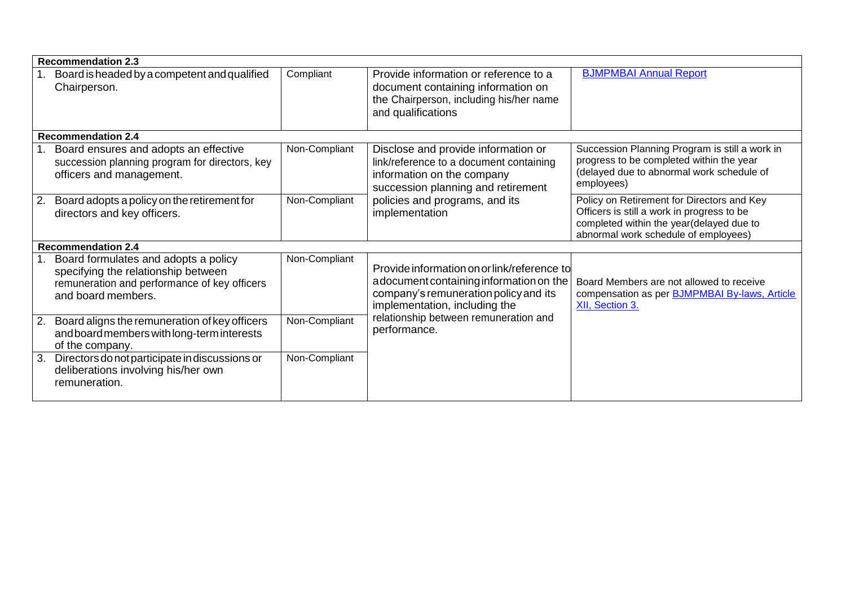| <b>Recommendation 2.3</b>                                                                                                                         |               |                                                                                                                                                                  |                                                                                                                                                                              |
|---------------------------------------------------------------------------------------------------------------------------------------------------|---------------|------------------------------------------------------------------------------------------------------------------------------------------------------------------|------------------------------------------------------------------------------------------------------------------------------------------------------------------------------|
| Board is headed by a competent and qualified<br>Chairperson.                                                                                      | Compliant     | Provide information or reference to a<br>document containing information on<br>the Chairperson, including his/her name<br>and qualifications                     | <b>BJMPMBAI Annual Report</b>                                                                                                                                                |
| <b>Recommendation 2.4</b>                                                                                                                         |               |                                                                                                                                                                  |                                                                                                                                                                              |
| 1. Board ensures and adopts an effective<br>succession planning program for directors, key<br>officers and management.                            | Non-Compliant | Disclose and provide information or<br>link/reference to a document containing<br>information on the company<br>succession planning and retirement               | Succession Planning Program is still a work in<br>progress to be completed within the year<br>(delayed due to abnormal work schedule of<br>employees)                        |
| Board adopts a policy on the retirement for<br>2.<br>directors and key officers.                                                                  | Non-Compliant | policies and programs, and its<br>implementation                                                                                                                 | Policy on Retirement for Directors and Key<br>Officers is still a work in progress to be<br>completed within the year(delayed due to<br>abnormal work schedule of employees) |
| <b>Recommendation 2.4</b>                                                                                                                         |               |                                                                                                                                                                  |                                                                                                                                                                              |
| Board formulates and adopts a policy<br>specifying the relationship between<br>remuneration and performance of key officers<br>and board members. | Non-Compliant | Provide information on or link/reference to<br>adocument containing information on the<br>company's remuneration policy and its<br>implementation, including the | Board Members are not allowed to receive<br>compensation as per <b>BJMPMBAI By-laws</b> , Article<br>XII, Section 3.                                                         |
| Board aligns the remuneration of key officers<br>2.<br>and board members with long-term interests<br>of the company.                              | Non-Compliant | relationship between remuneration and<br>performance.                                                                                                            |                                                                                                                                                                              |
| Directors do not participate in discussions or<br>3.<br>deliberations involving his/her own<br>remuneration.                                      | Non-Compliant |                                                                                                                                                                  |                                                                                                                                                                              |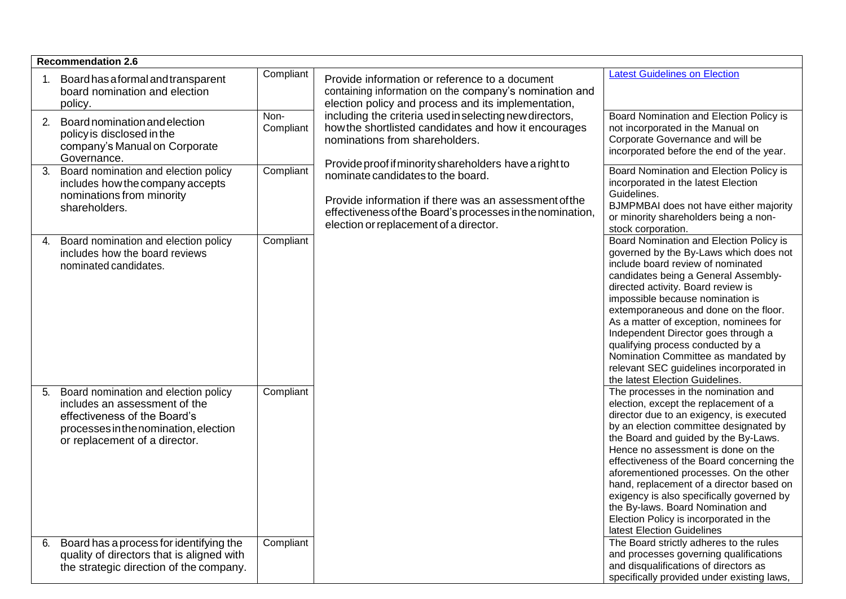| <b>Recommendation 2.6</b>                                                                                                                                                             |                   |                                                                                                                                                                                                                                                             |                                                                                                                                                                                                                                                                                                                                                                                                                                                                                                                                               |
|---------------------------------------------------------------------------------------------------------------------------------------------------------------------------------------|-------------------|-------------------------------------------------------------------------------------------------------------------------------------------------------------------------------------------------------------------------------------------------------------|-----------------------------------------------------------------------------------------------------------------------------------------------------------------------------------------------------------------------------------------------------------------------------------------------------------------------------------------------------------------------------------------------------------------------------------------------------------------------------------------------------------------------------------------------|
| Board has a formal and transparent<br>board nomination and election<br>policy.                                                                                                        | Compliant<br>Non- | Provide information or reference to a document<br>containing information on the company's nomination and<br>election policy and process and its implementation,                                                                                             | <b>Latest Guidelines on Election</b>                                                                                                                                                                                                                                                                                                                                                                                                                                                                                                          |
| Board nomination and election<br>2.<br>policy is disclosed in the<br>company's Manual on Corporate<br>Governance.                                                                     | Compliant         | including the criteria used in selecting new directors,<br>how the shortlisted candidates and how it encourages<br>nominations from shareholders.                                                                                                           | Board Nomination and Election Policy is<br>not incorporated in the Manual on<br>Corporate Governance and will be<br>incorporated before the end of the year.                                                                                                                                                                                                                                                                                                                                                                                  |
| Board nomination and election policy<br>3.<br>includes how the company accepts<br>nominations from minority<br>shareholders.                                                          | Compliant         | Provide proof if minority shareholders have a right to<br>nominate candidates to the board.<br>Provide information if there was an assessment of the<br>effectiveness of the Board's processes in the nomination,<br>election or replacement of a director. | Board Nomination and Election Policy is<br>incorporated in the latest Election<br>Guidelines.<br>BJMPMBAI does not have either majority<br>or minority shareholders being a non-<br>stock corporation.                                                                                                                                                                                                                                                                                                                                        |
| Board nomination and election policy<br>4.<br>includes how the board reviews<br>nominated candidates.                                                                                 | Compliant         |                                                                                                                                                                                                                                                             | Board Nomination and Election Policy is<br>governed by the By-Laws which does not<br>include board review of nominated<br>candidates being a General Assembly-<br>directed activity. Board review is<br>impossible because nomination is<br>extemporaneous and done on the floor.<br>As a matter of exception, nominees for<br>Independent Director goes through a<br>qualifying process conducted by a<br>Nomination Committee as mandated by<br>relevant SEC guidelines incorporated in<br>the latest Election Guidelines.                  |
| Board nomination and election policy<br>5.<br>includes an assessment of the<br>effectiveness of the Board's<br>processes in the nomination, election<br>or replacement of a director. | Compliant         |                                                                                                                                                                                                                                                             | The processes in the nomination and<br>election, except the replacement of a<br>director due to an exigency, is executed<br>by an election committee designated by<br>the Board and guided by the By-Laws.<br>Hence no assessment is done on the<br>effectiveness of the Board concerning the<br>aforementioned processes. On the other<br>hand, replacement of a director based on<br>exigency is also specifically governed by<br>the By-laws. Board Nomination and<br>Election Policy is incorporated in the<br>latest Election Guidelines |
| Board has a process for identifying the<br>6.<br>quality of directors that is aligned with<br>the strategic direction of the company.                                                 | Compliant         |                                                                                                                                                                                                                                                             | The Board strictly adheres to the rules<br>and processes governing qualifications<br>and disqualifications of directors as<br>specifically provided under existing laws,                                                                                                                                                                                                                                                                                                                                                                      |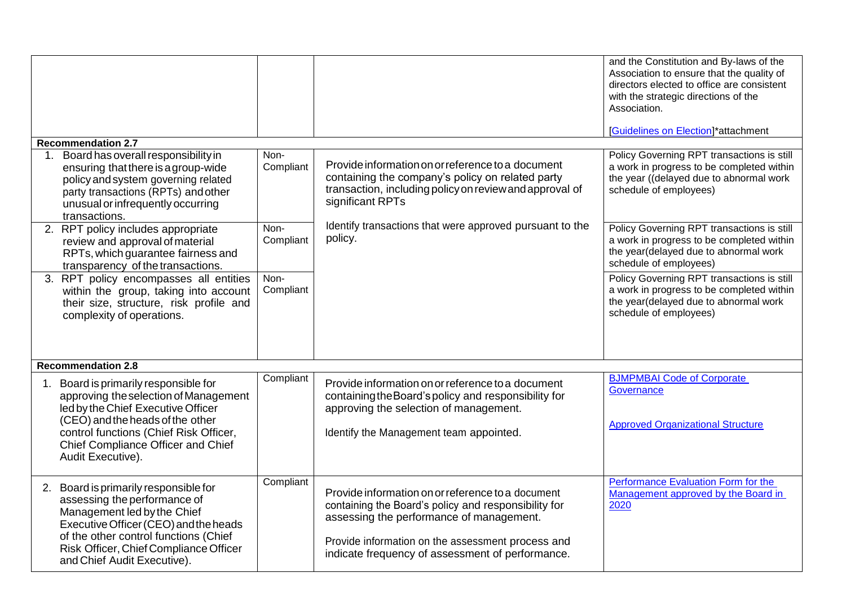|                                                                                                                                                                                                                                                                 |                   |                                                                                                                                                                                                                                                                | and the Constitution and By-laws of the<br>Association to ensure that the quality of<br>directors elected to office are consistent<br>with the strategic directions of the<br>Association.<br>[Guidelines on Election]*attachment |
|-----------------------------------------------------------------------------------------------------------------------------------------------------------------------------------------------------------------------------------------------------------------|-------------------|----------------------------------------------------------------------------------------------------------------------------------------------------------------------------------------------------------------------------------------------------------------|-----------------------------------------------------------------------------------------------------------------------------------------------------------------------------------------------------------------------------------|
| <b>Recommendation 2.7</b>                                                                                                                                                                                                                                       |                   |                                                                                                                                                                                                                                                                |                                                                                                                                                                                                                                   |
| 1. Board has overall responsibility in<br>ensuring that there is a group-wide<br>policy and system governing related<br>party transactions (RPTs) and other<br>unusual or infrequently occurring<br>transactions.                                               | Non-<br>Compliant | Provide information on or reference to a document<br>containing the company's policy on related party<br>transaction, including policy on review and approval of<br>significant RPTs                                                                           | Policy Governing RPT transactions is still<br>a work in progress to be completed within<br>the year ((delayed due to abnormal work<br>schedule of employees)                                                                      |
| 2. RPT policy includes appropriate<br>review and approval of material<br>RPTs, which guarantee fairness and<br>transparency of the transactions.                                                                                                                | Non-<br>Compliant | Identify transactions that were approved pursuant to the<br>policy.                                                                                                                                                                                            | Policy Governing RPT transactions is still<br>a work in progress to be completed within<br>the year(delayed due to abnormal work<br>schedule of employees)                                                                        |
| 3. RPT policy encompasses all entities<br>within the group, taking into account<br>their size, structure, risk profile and<br>complexity of operations.                                                                                                         | Non-<br>Compliant |                                                                                                                                                                                                                                                                | Policy Governing RPT transactions is still<br>a work in progress to be completed within<br>the year(delayed due to abnormal work<br>schedule of employees)                                                                        |
| <b>Recommendation 2.8</b>                                                                                                                                                                                                                                       |                   |                                                                                                                                                                                                                                                                |                                                                                                                                                                                                                                   |
| 1. Board is primarily responsible for<br>approving the selection of Management<br>led by the Chief Executive Officer<br>(CEO) and the heads of the other<br>control functions (Chief Risk Officer,<br>Chief Compliance Officer and Chief<br>Audit Executive).   | Compliant         | Provide information on or reference to a document<br>containing the Board's policy and responsibility for<br>approving the selection of management.<br>Identify the Management team appointed.                                                                 | <b>BJMPMBAI Code of Corporate</b><br>Governance<br><b>Approved Organizational Structure</b>                                                                                                                                       |
| 2. Board is primarily responsible for<br>assessing the performance of<br>Management led by the Chief<br>Executive Officer (CEO) and the heads<br>of the other control functions (Chief<br>Risk Officer, Chief Compliance Officer<br>and Chief Audit Executive). | Compliant         | Provide information on or reference to a document<br>containing the Board's policy and responsibility for<br>assessing the performance of management.<br>Provide information on the assessment process and<br>indicate frequency of assessment of performance. | Performance Evaluation Form for the<br>Management approved by the Board in<br>2020                                                                                                                                                |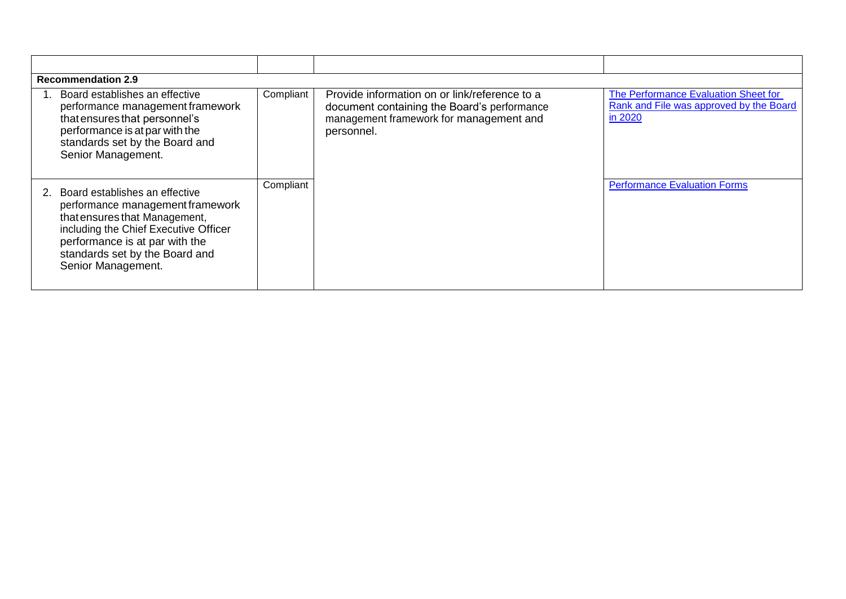| Board establishes an effective                                                                                                                                                                                                         | <b>Recommendation 2.9</b><br>Compliant<br>Provide information on or link/reference to a<br>The Performance Evaluation Sheet for |                                                                                                      |                                                    |  |  |  |  |  |
|----------------------------------------------------------------------------------------------------------------------------------------------------------------------------------------------------------------------------------------|---------------------------------------------------------------------------------------------------------------------------------|------------------------------------------------------------------------------------------------------|----------------------------------------------------|--|--|--|--|--|
| performance management framework<br>that ensures that personnel's<br>performance is at par with the<br>standards set by the Board and<br>Senior Management.                                                                            |                                                                                                                                 | document containing the Board's performance<br>management framework for management and<br>personnel. | Rank and File was approved by the Board<br>in 2020 |  |  |  |  |  |
| Board establishes an effective<br>performance management framework<br>that ensures that Management,<br>including the Chief Executive Officer<br>performance is at par with the<br>standards set by the Board and<br>Senior Management. | Compliant                                                                                                                       |                                                                                                      | <b>Performance Evaluation Forms</b>                |  |  |  |  |  |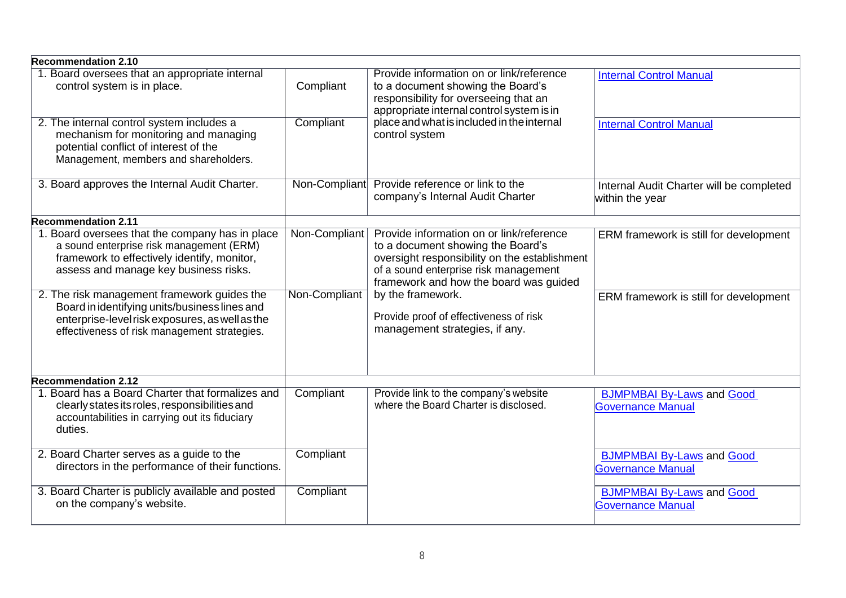| <b>Recommendation 2.10</b>                                                                                                                                                                      |               |                                                                                                                                                                                                                   |                                                              |
|-------------------------------------------------------------------------------------------------------------------------------------------------------------------------------------------------|---------------|-------------------------------------------------------------------------------------------------------------------------------------------------------------------------------------------------------------------|--------------------------------------------------------------|
| 1. Board oversees that an appropriate internal<br>control system is in place.                                                                                                                   | Compliant     | Provide information on or link/reference<br>to a document showing the Board's<br>responsibility for overseeing that an<br>appropriate internal control system is in                                               | <b>Internal Control Manual</b>                               |
| 2. The internal control system includes a<br>mechanism for monitoring and managing<br>potential conflict of interest of the<br>Management, members and shareholders.                            | Compliant     | place and what is included in the internal<br>control system                                                                                                                                                      | <b>Internal Control Manual</b>                               |
| 3. Board approves the Internal Audit Charter.                                                                                                                                                   | Non-Compliant | Provide reference or link to the<br>company's Internal Audit Charter                                                                                                                                              | Internal Audit Charter will be completed<br>within the year  |
| <b>Recommendation 2.11</b>                                                                                                                                                                      |               |                                                                                                                                                                                                                   |                                                              |
| 1. Board oversees that the company has in place<br>a sound enterprise risk management (ERM)<br>framework to effectively identify, monitor,<br>assess and manage key business risks.             | Non-Compliant | Provide information on or link/reference<br>to a document showing the Board's<br>oversight responsibility on the establishment<br>of a sound enterprise risk management<br>framework and how the board was quided | ERM framework is still for development                       |
| 2. The risk management framework guides the<br>Board in identifying units/business lines and<br>enterprise-level risk exposures, as well as the<br>effectiveness of risk management strategies. | Non-Compliant | by the framework.<br>Provide proof of effectiveness of risk<br>management strategies, if any.                                                                                                                     | ERM framework is still for development                       |
| <b>Recommendation 2.12</b>                                                                                                                                                                      |               |                                                                                                                                                                                                                   |                                                              |
| 1. Board has a Board Charter that formalizes and<br>clearly states its roles, responsibilities and<br>accountabilities in carrying out its fiduciary<br>duties.                                 | Compliant     | Provide link to the company's website<br>where the Board Charter is disclosed.                                                                                                                                    | <b>BJMPMBAI By-Laws and Good</b><br>Governance Manual        |
| 2. Board Charter serves as a guide to the<br>directors in the performance of their functions.                                                                                                   | Compliant     |                                                                                                                                                                                                                   | <b>BJMPMBAI By-Laws and Good</b><br><b>Governance Manual</b> |
| 3. Board Charter is publicly available and posted<br>on the company's website.                                                                                                                  | Compliant     |                                                                                                                                                                                                                   | <b>BJMPMBAI By-Laws and Good</b><br><b>Governance Manual</b> |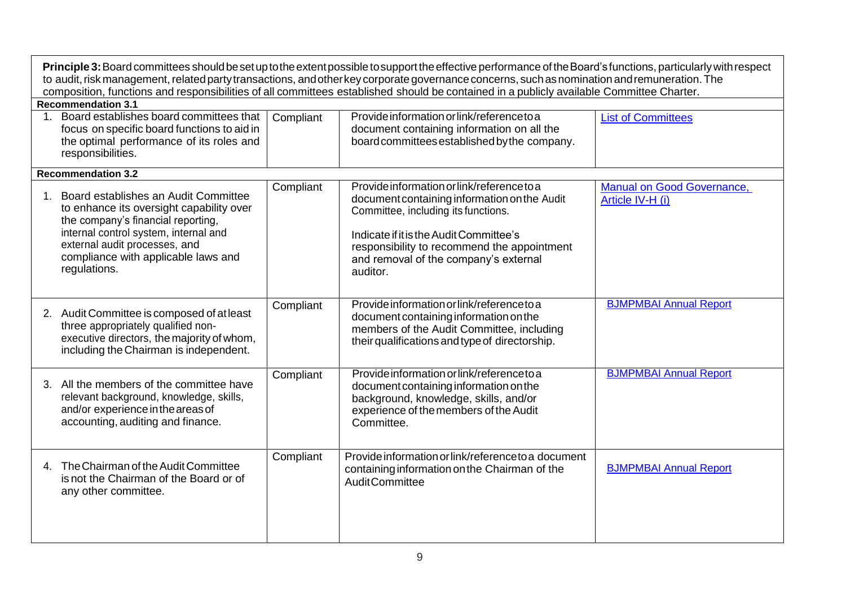| Principle 3: Board committees should be set up to the extent possible to support the effective performance of the Board's functions, particularly with respect<br>to audit, risk management, related party transactions, and other key corporate governance concerns, such as nomination and remuneration. The<br>composition, functions and responsibilities of all committees established should be contained in a publicly available Committee Charter. |           |                                                                                                                                                                                                                                                                                  |                                                |  |  |
|------------------------------------------------------------------------------------------------------------------------------------------------------------------------------------------------------------------------------------------------------------------------------------------------------------------------------------------------------------------------------------------------------------------------------------------------------------|-----------|----------------------------------------------------------------------------------------------------------------------------------------------------------------------------------------------------------------------------------------------------------------------------------|------------------------------------------------|--|--|
| <b>Recommendation 3.1</b>                                                                                                                                                                                                                                                                                                                                                                                                                                  |           |                                                                                                                                                                                                                                                                                  |                                                |  |  |
| Board establishes board committees that<br>focus on specific board functions to aid in<br>the optimal performance of its roles and<br>responsibilities.                                                                                                                                                                                                                                                                                                    | Compliant | Provide information or link/reference to a<br>document containing information on all the<br>board committees established by the company.                                                                                                                                         | <b>List of Committees</b>                      |  |  |
| <b>Recommendation 3.2</b>                                                                                                                                                                                                                                                                                                                                                                                                                                  |           |                                                                                                                                                                                                                                                                                  |                                                |  |  |
| Board establishes an Audit Committee<br>to enhance its oversight capability over<br>the company's financial reporting,<br>internal control system, internal and<br>external audit processes, and<br>compliance with applicable laws and<br>regulations.                                                                                                                                                                                                    | Compliant | Provide information or link/reference to a<br>document containing information on the Audit<br>Committee, including its functions.<br>Indicate if it is the Audit Committee's<br>responsibility to recommend the appointment<br>and removal of the company's external<br>auditor. | Manual on Good Governance,<br>Article IV-H (i) |  |  |
| 2. Audit Committee is composed of at least<br>three appropriately qualified non-<br>executive directors, the majority of whom,<br>including the Chairman is independent.                                                                                                                                                                                                                                                                                   | Compliant | Provide information or link/referenceto a<br>document containing information on the<br>members of the Audit Committee, including<br>their qualifications and type of directorship.                                                                                               | <b>BJMPMBAI Annual Report</b>                  |  |  |
| 3. All the members of the committee have<br>relevant background, knowledge, skills,<br>and/or experience in the areas of<br>accounting, auditing and finance.                                                                                                                                                                                                                                                                                              | Compliant | Provide information or link/reference to a<br>document containing information on the<br>background, knowledge, skills, and/or<br>experience of the members of the Audit<br>Committee.                                                                                            | <b>BJMPMBAI Annual Report</b>                  |  |  |
| 4. The Chairman of the Audit Committee<br>is not the Chairman of the Board or of<br>any other committee.                                                                                                                                                                                                                                                                                                                                                   | Compliant | Provide information or link/reference to a document<br>containing information on the Chairman of the<br>Audit Committee                                                                                                                                                          | <b>BJMPMBAI Annual Report</b>                  |  |  |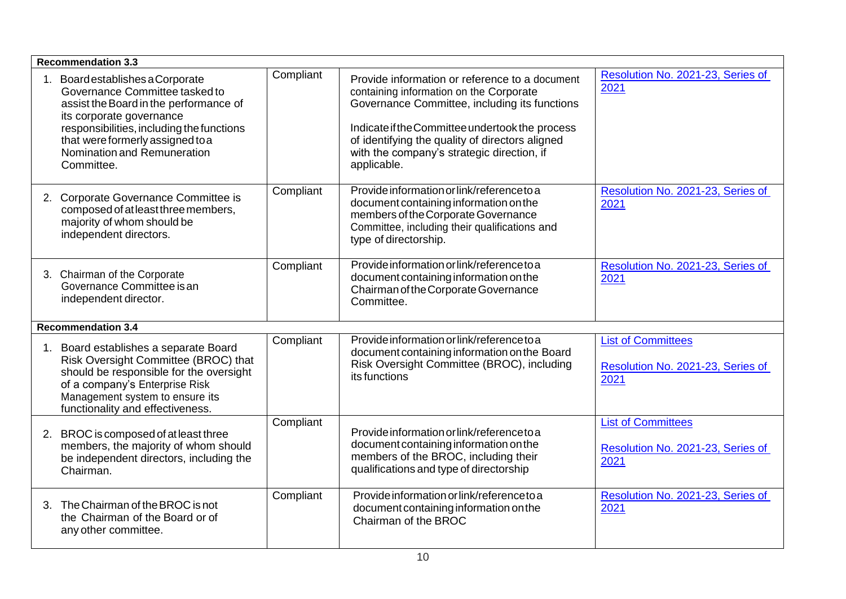| <b>Recommendation 3.3</b>                                                                                                                                                                                                                                           |           |                                                                                                                                                                                                                                                                                                               |                                                                        |
|---------------------------------------------------------------------------------------------------------------------------------------------------------------------------------------------------------------------------------------------------------------------|-----------|---------------------------------------------------------------------------------------------------------------------------------------------------------------------------------------------------------------------------------------------------------------------------------------------------------------|------------------------------------------------------------------------|
| Board establishes a Corporate<br>Governance Committee tasked to<br>assist the Board in the performance of<br>its corporate governance<br>responsibilities, including the functions<br>that were formerly assigned to a<br>Nomination and Remuneration<br>Committee. | Compliant | Provide information or reference to a document<br>containing information on the Corporate<br>Governance Committee, including its functions<br>Indicate if the Committee undertook the process<br>of identifying the quality of directors aligned<br>with the company's strategic direction, if<br>applicable. | Resolution No. 2021-23, Series of<br>2021                              |
| 2. Corporate Governance Committee is<br>composed of at least three members,<br>majority of whom should be<br>independent directors.                                                                                                                                 | Compliant | Provide information or link/reference to a<br>document containing information on the<br>members of the Corporate Governance<br>Committee, including their qualifications and<br>type of directorship.                                                                                                         | Resolution No. 2021-23, Series of<br>2021                              |
| 3. Chairman of the Corporate<br>Governance Committee is an<br>independent director.                                                                                                                                                                                 | Compliant | Provide information or link/reference to a<br>document containing information on the<br>Chairman of the Corporate Governance<br>Committee.                                                                                                                                                                    | Resolution No. 2021-23, Series of<br>2021                              |
| <b>Recommendation 3.4</b>                                                                                                                                                                                                                                           |           |                                                                                                                                                                                                                                                                                                               |                                                                        |
| 1. Board establishes a separate Board<br>Risk Oversight Committee (BROC) that<br>should be responsible for the oversight<br>of a company's Enterprise Risk<br>Management system to ensure its<br>functionality and effectiveness.                                   | Compliant | Provide information or link/reference to a<br>document containing information on the Board<br>Risk Oversight Committee (BROC), including<br>its functions                                                                                                                                                     | <b>List of Committees</b><br>Resolution No. 2021-23, Series of<br>2021 |
| 2. BROC is composed of at least three<br>members, the majority of whom should<br>be independent directors, including the<br>Chairman.                                                                                                                               | Compliant | Provide information or link/reference to a<br>document containing information on the<br>members of the BROC, including their<br>qualifications and type of directorship                                                                                                                                       | <b>List of Committees</b><br>Resolution No. 2021-23, Series of<br>2021 |
| 3. The Chairman of the BROC is not<br>the Chairman of the Board or of<br>any other committee.                                                                                                                                                                       | Compliant | Provide information or link/reference to a<br>document containing information on the<br>Chairman of the BROC                                                                                                                                                                                                  | Resolution No. 2021-23, Series of<br>2021                              |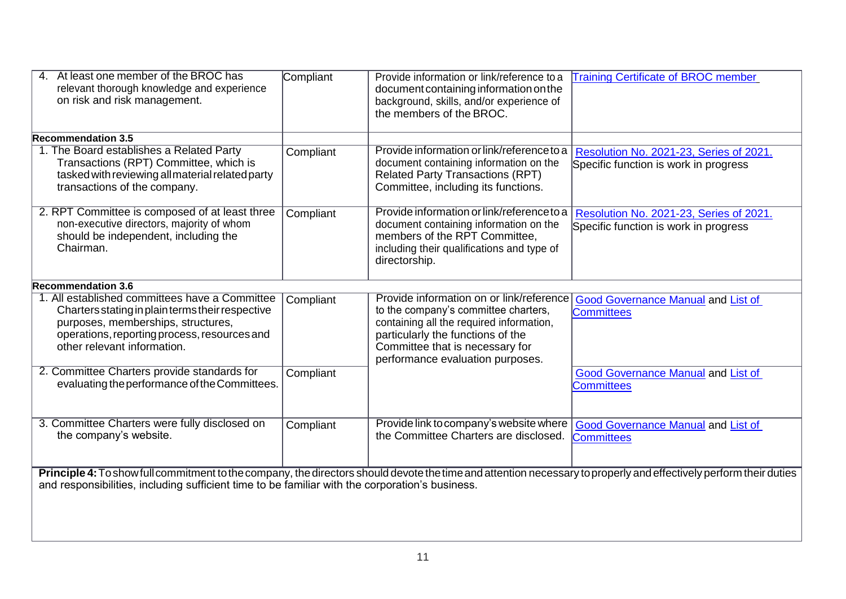| 4. At least one member of the BROC has<br>relevant thorough knowledge and experience<br>on risk and risk management.                                                                                                                                                  | Compliant | Provide information or link/reference to a<br>document containing information on the<br>background, skills, and/or experience of<br>the members of the BROC.                                                                             | <b>Training Certificate of BROC member</b>                                       |
|-----------------------------------------------------------------------------------------------------------------------------------------------------------------------------------------------------------------------------------------------------------------------|-----------|------------------------------------------------------------------------------------------------------------------------------------------------------------------------------------------------------------------------------------------|----------------------------------------------------------------------------------|
| <b>Recommendation 3.5</b>                                                                                                                                                                                                                                             |           |                                                                                                                                                                                                                                          |                                                                                  |
| 1. The Board establishes a Related Party<br>Transactions (RPT) Committee, which is<br>tasked with reviewing all material related party<br>transactions of the company.                                                                                                | Compliant | Provide information or link/reference to a<br>document containing information on the<br><b>Related Party Transactions (RPT)</b><br>Committee, including its functions.                                                                   | Resolution No. 2021-23, Series of 2021.<br>Specific function is work in progress |
| 2. RPT Committee is composed of at least three<br>non-executive directors, majority of whom<br>should be independent, including the<br>Chairman.                                                                                                                      | Compliant | Provide information or link/reference to a<br>document containing information on the<br>members of the RPT Committee,<br>including their qualifications and type of<br>directorship.                                                     | Resolution No. 2021-23, Series of 2021.<br>Specific function is work in progress |
| <b>Recommendation 3.6</b>                                                                                                                                                                                                                                             |           |                                                                                                                                                                                                                                          |                                                                                  |
| 1. All established committees have a Committee<br>Charters stating in plain terms their respective<br>purposes, memberships, structures,<br>operations, reporting process, resources and<br>other relevant information.                                               | Compliant | Provide information on or link/reference<br>to the company's committee charters,<br>containing all the required information,<br>particularly the functions of the<br>Committee that is necessary for<br>performance evaluation purposes. | <b>Good Governance Manual and List of</b><br><b>Committees</b>                   |
| 2. Committee Charters provide standards for<br>evaluating the performance of the Committees.                                                                                                                                                                          | Compliant |                                                                                                                                                                                                                                          | <b>Good Governance Manual and List of</b><br><b>Committees</b>                   |
| 3. Committee Charters were fully disclosed on<br>the company's website.                                                                                                                                                                                               | Compliant | Provide link to company's website where<br>the Committee Charters are disclosed.                                                                                                                                                         | <b>Good Governance Manual and List of</b><br><b>Committees</b>                   |
| Principle 4: To show full commitment to the company, the directors should devote the time and attention necessary to properly and effectively perform their duties<br>and responsibilities, including sufficient time to be familiar with the corporation's business. |           |                                                                                                                                                                                                                                          |                                                                                  |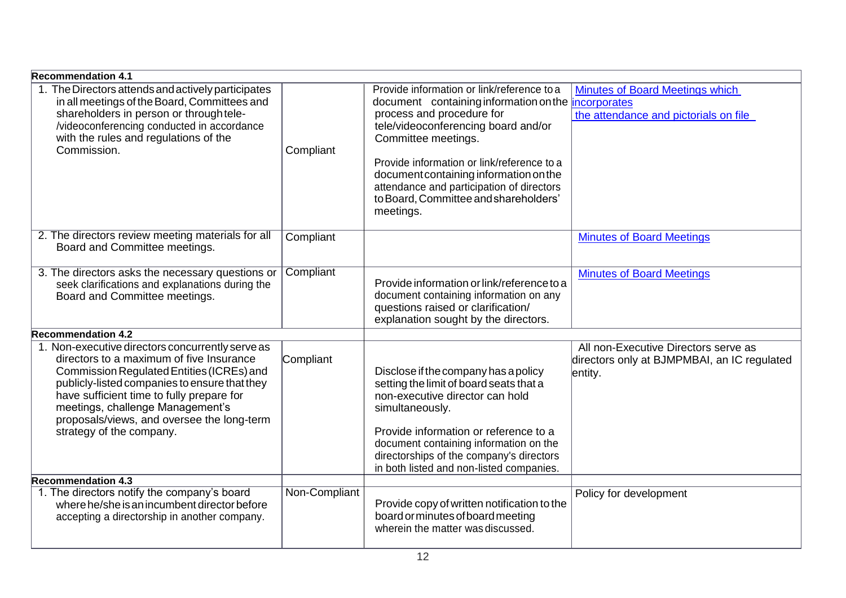| <b>Recommendation 4.1</b>                                                                                                                                                                                                                                                                                                                             |               |                                                                                                                                                                                                                                                                                                                                                                                                |                                                                                                |
|-------------------------------------------------------------------------------------------------------------------------------------------------------------------------------------------------------------------------------------------------------------------------------------------------------------------------------------------------------|---------------|------------------------------------------------------------------------------------------------------------------------------------------------------------------------------------------------------------------------------------------------------------------------------------------------------------------------------------------------------------------------------------------------|------------------------------------------------------------------------------------------------|
| 1. The Directors attends and actively participates<br>in all meetings of the Board, Committees and<br>shareholders in person or through tele-<br>/videoconferencing conducted in accordance<br>with the rules and regulations of the<br>Commission.                                                                                                   | Compliant     | Provide information or link/reference to a<br>document containing information on the <i>incorporates</i><br>process and procedure for<br>tele/videoconferencing board and/or<br>Committee meetings.<br>Provide information or link/reference to a<br>document containing information on the<br>attendance and participation of directors<br>to Board, Committee and shareholders'<br>meetings. | <b>Minutes of Board Meetings which</b><br>the attendance and pictorials on file                |
| 2. The directors review meeting materials for all<br>Board and Committee meetings.                                                                                                                                                                                                                                                                    | Compliant     |                                                                                                                                                                                                                                                                                                                                                                                                | <b>Minutes of Board Meetings</b>                                                               |
| 3. The directors asks the necessary questions or<br>seek clarifications and explanations during the<br>Board and Committee meetings.                                                                                                                                                                                                                  | Compliant     | Provide information or link/reference to a<br>document containing information on any<br>questions raised or clarification/<br>explanation sought by the directors.                                                                                                                                                                                                                             | <b>Minutes of Board Meetings</b>                                                               |
| <b>Recommendation 4.2</b>                                                                                                                                                                                                                                                                                                                             |               |                                                                                                                                                                                                                                                                                                                                                                                                |                                                                                                |
| 1. Non-executive directors concurrently serve as<br>directors to a maximum of five Insurance<br>Commission Regulated Entities (ICREs) and<br>publicly-listed companies to ensure that they<br>have sufficient time to fully prepare for<br>meetings, challenge Management's<br>proposals/views, and oversee the long-term<br>strategy of the company. | Compliant     | Disclose if the company has a policy<br>setting the limit of board seats that a<br>non-executive director can hold<br>simultaneously.<br>Provide information or reference to a<br>document containing information on the<br>directorships of the company's directors<br>in both listed and non-listed companies.                                                                               | All non-Executive Directors serve as<br>directors only at BJMPMBAI, an IC regulated<br>entity. |
| <b>Recommendation 4.3</b>                                                                                                                                                                                                                                                                                                                             |               |                                                                                                                                                                                                                                                                                                                                                                                                |                                                                                                |
| 1. The directors notify the company's board<br>where he/she is an incumbent director before<br>accepting a directorship in another company.                                                                                                                                                                                                           | Non-Compliant | Provide copy of written notification to the<br>board or minutes of board meeting<br>wherein the matter was discussed.                                                                                                                                                                                                                                                                          | Policy for development                                                                         |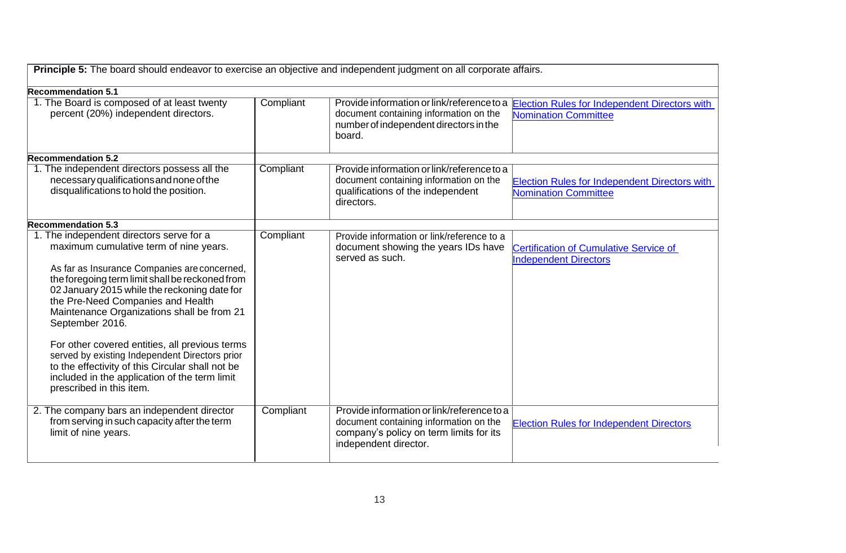| <b>Principle 5:</b> The board should endeavor to exercise an objective and independent judgment on all corporate affairs.                                                                                                                             |           |                                                                                                            |                                                                        |
|-------------------------------------------------------------------------------------------------------------------------------------------------------------------------------------------------------------------------------------------------------|-----------|------------------------------------------------------------------------------------------------------------|------------------------------------------------------------------------|
| <b>Recommendation 5.1</b>                                                                                                                                                                                                                             |           |                                                                                                            |                                                                        |
| 1. The Board is composed of at least twenty                                                                                                                                                                                                           | Compliant | Provide information or link/reference to a                                                                 | <b>Election Rules for Independent Directors with</b>                   |
| percent (20%) independent directors.                                                                                                                                                                                                                  |           | document containing information on the<br>number of independent directors in the<br>board.                 | <b>Nomination Committee</b>                                            |
| <b>Recommendation 5.2</b>                                                                                                                                                                                                                             |           |                                                                                                            |                                                                        |
| 1. The independent directors possess all the                                                                                                                                                                                                          | Compliant | Provide information or link/reference to a                                                                 |                                                                        |
| necessary qualifications and none of the                                                                                                                                                                                                              |           | document containing information on the                                                                     | <b>Election Rules for Independent Directors with</b>                   |
| disqualifications to hold the position.                                                                                                                                                                                                               |           | qualifications of the independent<br>directors.                                                            | Nomination Committee                                                   |
| <b>Recommendation 5.3</b>                                                                                                                                                                                                                             |           |                                                                                                            |                                                                        |
| 1. The independent directors serve for a                                                                                                                                                                                                              | Compliant | Provide information or link/reference to a                                                                 |                                                                        |
| maximum cumulative term of nine years.                                                                                                                                                                                                                |           | document showing the years IDs have<br>served as such.                                                     | Certification of Cumulative Service of<br><b>Independent Directors</b> |
| As far as Insurance Companies are concerned,<br>the foregoing term limit shall be reckoned from<br>02 January 2015 while the reckoning date for<br>the Pre-Need Companies and Health<br>Maintenance Organizations shall be from 21<br>September 2016. |           |                                                                                                            |                                                                        |
| For other covered entities, all previous terms<br>served by existing Independent Directors prior<br>to the effectivity of this Circular shall not be<br>included in the application of the term limit<br>prescribed in this item.                     |           |                                                                                                            |                                                                        |
| 2. The company bars an independent director                                                                                                                                                                                                           | Compliant | Provide information or link/reference to a                                                                 |                                                                        |
| from serving in such capacity after the term<br>limit of nine years.                                                                                                                                                                                  |           | document containing information on the<br>company's policy on term limits for its<br>independent director. | <b>Election Rules for Independent Directors</b>                        |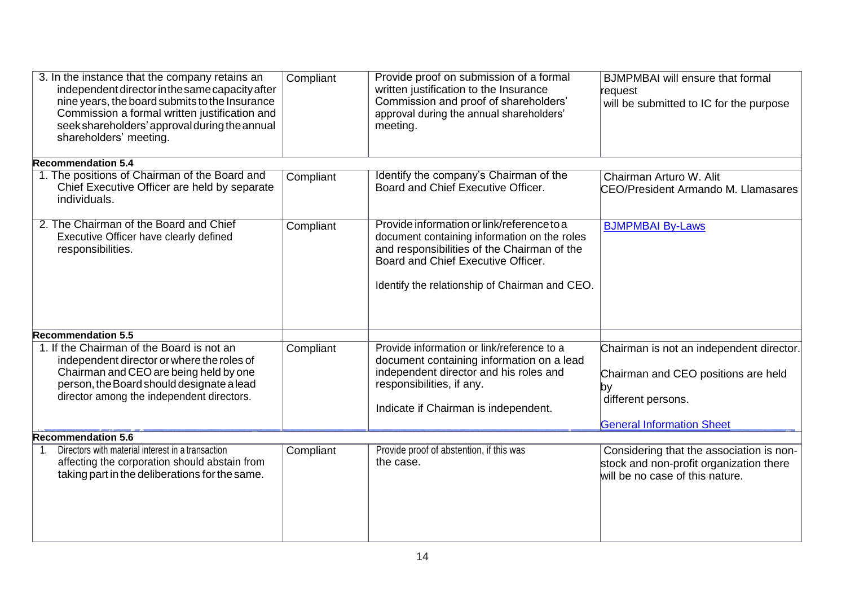| 3. In the instance that the company retains an<br>independent director in the same capacity after<br>nine years, the board submits to the Insurance<br>Commission a formal written justification and<br>seek shareholders' approval during the annual<br>shareholders' meeting. | Compliant | Provide proof on submission of a formal<br>written justification to the Insurance<br>Commission and proof of shareholders'<br>approval during the annual shareholders'<br>meeting.                                                | <b>BJMPMBAI</b> will ensure that formal<br>request<br>will be submitted to IC for the purpose                                                    |
|---------------------------------------------------------------------------------------------------------------------------------------------------------------------------------------------------------------------------------------------------------------------------------|-----------|-----------------------------------------------------------------------------------------------------------------------------------------------------------------------------------------------------------------------------------|--------------------------------------------------------------------------------------------------------------------------------------------------|
| <b>Recommendation 5.4</b>                                                                                                                                                                                                                                                       |           |                                                                                                                                                                                                                                   |                                                                                                                                                  |
| 1. The positions of Chairman of the Board and<br>Chief Executive Officer are held by separate<br>individuals.                                                                                                                                                                   | Compliant | Identify the company's Chairman of the<br>Board and Chief Executive Officer.                                                                                                                                                      | Chairman Arturo W. Alit<br><b>CEO/President Armando M. Llamasares</b>                                                                            |
| 2. The Chairman of the Board and Chief<br>Executive Officer have clearly defined<br>responsibilities.                                                                                                                                                                           | Compliant | Provide information or link/reference to a<br>document containing information on the roles<br>and responsibilities of the Chairman of the<br>Board and Chief Executive Officer.<br>Identify the relationship of Chairman and CEO. | <b>BJMPMBAI By-Laws</b>                                                                                                                          |
| <b>Recommendation 5.5</b>                                                                                                                                                                                                                                                       |           |                                                                                                                                                                                                                                   |                                                                                                                                                  |
| 1. If the Chairman of the Board is not an<br>independent director or where the roles of<br>Chairman and CEO are being held by one<br>person, the Board should designate a lead<br>director among the independent directors.                                                     | Compliant | Provide information or link/reference to a<br>document containing information on a lead<br>independent director and his roles and<br>responsibilities, if any.<br>Indicate if Chairman is independent.                            | Chairman is not an independent director.<br>Chairman and CEO positions are held<br> by<br>different persons.<br><b>General Information Sheet</b> |
| <b>Recommendation 5.6</b>                                                                                                                                                                                                                                                       |           |                                                                                                                                                                                                                                   |                                                                                                                                                  |
| Directors with material interest in a transaction<br>$1_{-}$<br>affecting the corporation should abstain from<br>taking part in the deliberations for the same.                                                                                                                 | Compliant | Provide proof of abstention, if this was<br>the case.                                                                                                                                                                             | Considering that the association is non-<br>stock and non-profit organization there<br>will be no case of this nature.                           |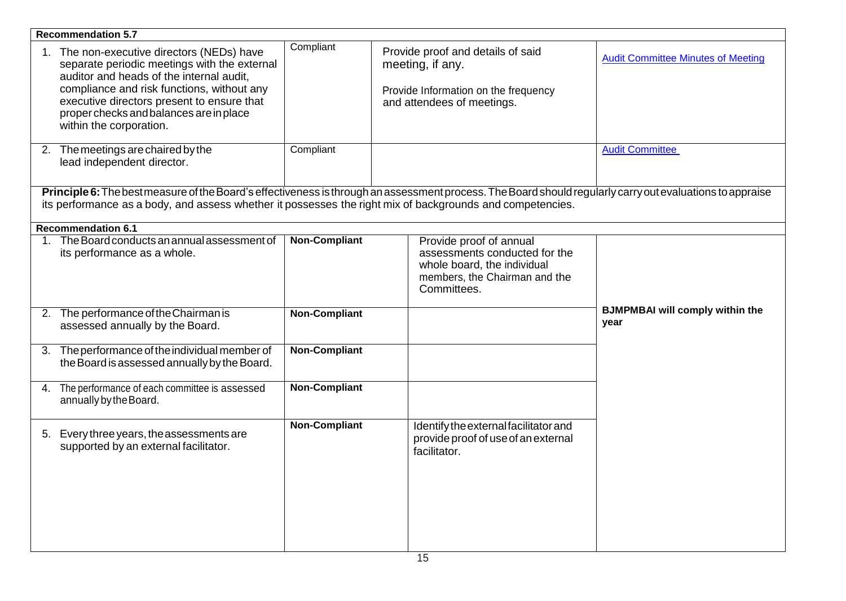| <b>Recommendation 5.7</b>                                                                                                                                    |                                                                                                                                          |                      |                                                                                                                                         |                                                                                                                                                           |
|--------------------------------------------------------------------------------------------------------------------------------------------------------------|------------------------------------------------------------------------------------------------------------------------------------------|----------------------|-----------------------------------------------------------------------------------------------------------------------------------------|-----------------------------------------------------------------------------------------------------------------------------------------------------------|
| 1. The non-executive directors (NEDs) have<br>auditor and heads of the internal audit,<br>proper checks and balances are in place<br>within the corporation. | separate periodic meetings with the external<br>compliance and risk functions, without any<br>executive directors present to ensure that | Compliant            | Provide proof and details of said<br>meeting, if any.<br>Provide Information on the frequency<br>and attendees of meetings.             | <b>Audit Committee Minutes of Meeting</b>                                                                                                                 |
| 2. The meetings are chaired by the<br>lead independent director.                                                                                             |                                                                                                                                          | Compliant            |                                                                                                                                         | <b>Audit Committee</b>                                                                                                                                    |
|                                                                                                                                                              |                                                                                                                                          |                      | its performance as a body, and assess whether it possesses the right mix of backgrounds and competencies.                               | Principle 6: The best measure of the Board's effectiveness is through an assessment process. The Board should regularly carry out evaluations to appraise |
| <b>Recommendation 6.1</b>                                                                                                                                    |                                                                                                                                          |                      |                                                                                                                                         |                                                                                                                                                           |
| 1. The Board conducts an annual assessment of<br>its performance as a whole.                                                                                 |                                                                                                                                          | <b>Non-Compliant</b> | Provide proof of annual<br>assessments conducted for the<br>whole board, the individual<br>members, the Chairman and the<br>Committees. |                                                                                                                                                           |
| 2. The performance of the Chairman is<br>assessed annually by the Board.                                                                                     |                                                                                                                                          | <b>Non-Compliant</b> |                                                                                                                                         | <b>BJMPMBAI will comply within the</b><br>year                                                                                                            |
| 3. The performance of the individual member of                                                                                                               | the Board is assessed annually by the Board.                                                                                             | <b>Non-Compliant</b> |                                                                                                                                         |                                                                                                                                                           |
| 4. The performance of each committee is assessed<br>annually by the Board.                                                                                   |                                                                                                                                          | <b>Non-Compliant</b> |                                                                                                                                         |                                                                                                                                                           |
| 5. Every three years, the assessments are<br>supported by an external facilitator.                                                                           |                                                                                                                                          | <b>Non-Compliant</b> | Identify the external facilitator and<br>provide proof of use of an external<br>facilitator.                                            |                                                                                                                                                           |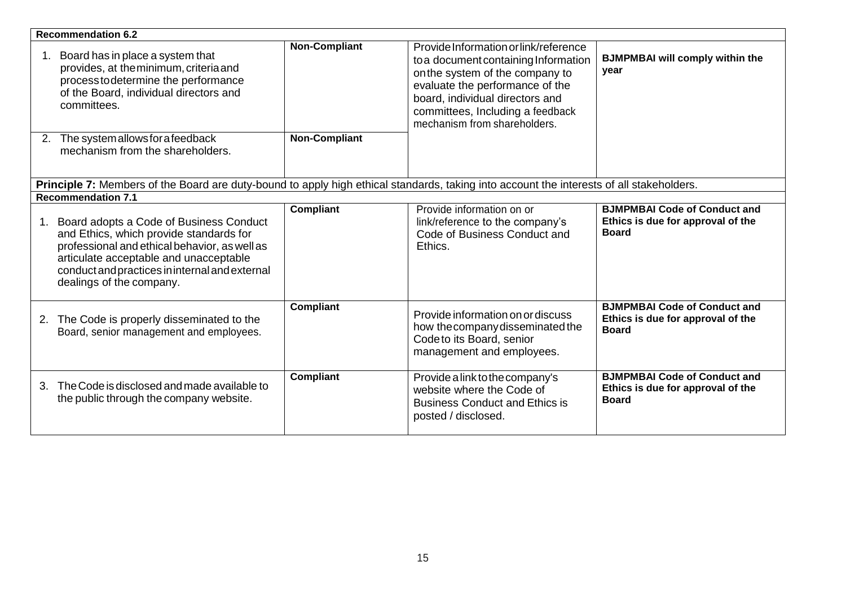| <b>Recommendation 6.2</b>                                                                                                                                                                                                                                         |                                              |                                                                                                                                                                                                                                                            |                                                                                          |
|-------------------------------------------------------------------------------------------------------------------------------------------------------------------------------------------------------------------------------------------------------------------|----------------------------------------------|------------------------------------------------------------------------------------------------------------------------------------------------------------------------------------------------------------------------------------------------------------|------------------------------------------------------------------------------------------|
| Board has in place a system that<br>provides, at the minimum, criteria and<br>process to determine the performance<br>of the Board, individual directors and<br>committees.<br>2. The system allows for a feedback                                                | <b>Non-Compliant</b><br><b>Non-Compliant</b> | Provide Information or link/reference<br>to a document containing Information<br>on the system of the company to<br>evaluate the performance of the<br>board, individual directors and<br>committees, Including a feedback<br>mechanism from shareholders. | <b>BJMPMBAI will comply within the</b><br>year                                           |
| mechanism from the shareholders.                                                                                                                                                                                                                                  |                                              |                                                                                                                                                                                                                                                            |                                                                                          |
|                                                                                                                                                                                                                                                                   |                                              |                                                                                                                                                                                                                                                            |                                                                                          |
| Principle 7: Members of the Board are duty-bound to apply high ethical standards, taking into account the interests of all stakeholders.<br><b>Recommendation 7.1</b>                                                                                             |                                              |                                                                                                                                                                                                                                                            |                                                                                          |
|                                                                                                                                                                                                                                                                   |                                              |                                                                                                                                                                                                                                                            |                                                                                          |
| Board adopts a Code of Business Conduct<br>1.<br>and Ethics, which provide standards for<br>professional and ethical behavior, as well as<br>articulate acceptable and unacceptable<br>conduct and practices in internal and external<br>dealings of the company. | <b>Compliant</b>                             | Provide information on or<br>link/reference to the company's<br>Code of Business Conduct and<br>Ethics.                                                                                                                                                    | <b>BJMPMBAI Code of Conduct and</b><br>Ethics is due for approval of the<br><b>Board</b> |
| The Code is properly disseminated to the<br>2.<br>Board, senior management and employees.                                                                                                                                                                         | Compliant                                    | Provide information on or discuss<br>how the company disseminated the<br>Codeto its Board, senior<br>management and employees.                                                                                                                             | <b>BJMPMBAI Code of Conduct and</b><br>Ethics is due for approval of the<br><b>Board</b> |
| The Code is disclosed and made available to<br>3.<br>the public through the company website.                                                                                                                                                                      | <b>Compliant</b>                             | Provide a link to the company's<br>website where the Code of<br><b>Business Conduct and Ethics is</b><br>posted / disclosed.                                                                                                                               | <b>BJMPMBAI Code of Conduct and</b><br>Ethics is due for approval of the<br><b>Board</b> |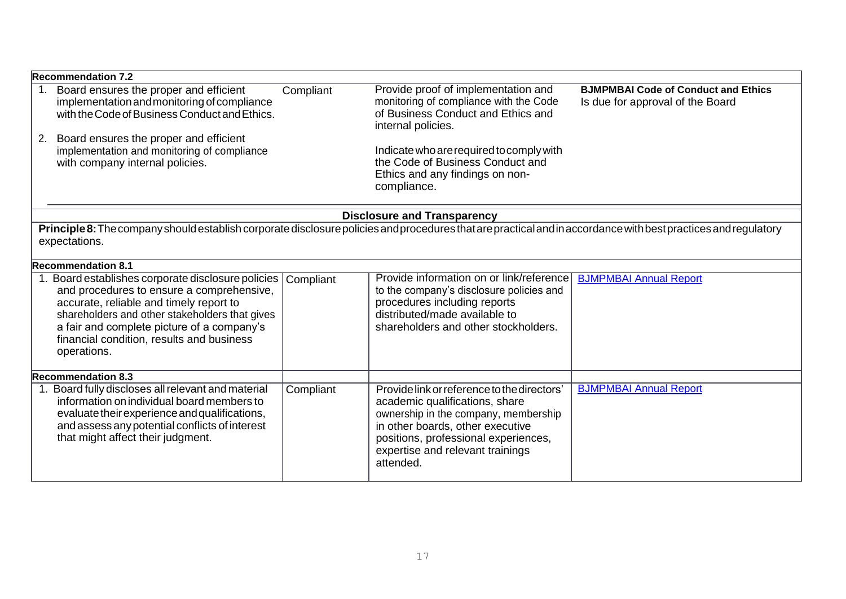|    | <b>Recommendation 7.2</b>                                                                                                                                                                                                                                                                              |           |                                                                                                                                                                                                                                                    |                                                                                |
|----|--------------------------------------------------------------------------------------------------------------------------------------------------------------------------------------------------------------------------------------------------------------------------------------------------------|-----------|----------------------------------------------------------------------------------------------------------------------------------------------------------------------------------------------------------------------------------------------------|--------------------------------------------------------------------------------|
| 1. | Board ensures the proper and efficient<br>implementation and monitoring of compliance<br>with the Code of Business Conduct and Ethics.                                                                                                                                                                 | Compliant | Provide proof of implementation and<br>monitoring of compliance with the Code<br>of Business Conduct and Ethics and<br>internal policies.                                                                                                          | <b>BJMPMBAI Code of Conduct and Ethics</b><br>Is due for approval of the Board |
| 2. | Board ensures the proper and efficient<br>implementation and monitoring of compliance<br>with company internal policies.                                                                                                                                                                               |           | Indicate who are required to comply with<br>the Code of Business Conduct and<br>Ethics and any findings on non-<br>compliance.                                                                                                                     |                                                                                |
|    |                                                                                                                                                                                                                                                                                                        |           | <b>Disclosure and Transparency</b>                                                                                                                                                                                                                 |                                                                                |
|    | Principle 8: The company should establish corporate disclosure policies and procedures that are practical and in accordance with best practices and regulatory<br>expectations.                                                                                                                        |           |                                                                                                                                                                                                                                                    |                                                                                |
|    | <b>Recommendation 8.1</b>                                                                                                                                                                                                                                                                              |           |                                                                                                                                                                                                                                                    |                                                                                |
|    | 1. Board establishes corporate disclosure policies<br>and procedures to ensure a comprehensive,<br>accurate, reliable and timely report to<br>shareholders and other stakeholders that gives<br>a fair and complete picture of a company's<br>financial condition, results and business<br>operations. | Compliant | Provide information on or link/reference<br>to the company's disclosure policies and<br>procedures including reports<br>distributed/made available to<br>shareholders and other stockholders.                                                      | <b>BJMPMBAI Annual Report</b>                                                  |
|    | <b>Recommendation 8.3</b>                                                                                                                                                                                                                                                                              |           |                                                                                                                                                                                                                                                    |                                                                                |
|    | Board fully discloses all relevant and material<br>information on individual board members to<br>evaluate their experience and qualifications,<br>and assess any potential conflicts of interest<br>that might affect their judgment.                                                                  | Compliant | Provide link or reference to the directors'<br>academic qualifications, share<br>ownership in the company, membership<br>in other boards, other executive<br>positions, professional experiences,<br>expertise and relevant trainings<br>attended. | <b>BJMPMBAI Annual Report</b>                                                  |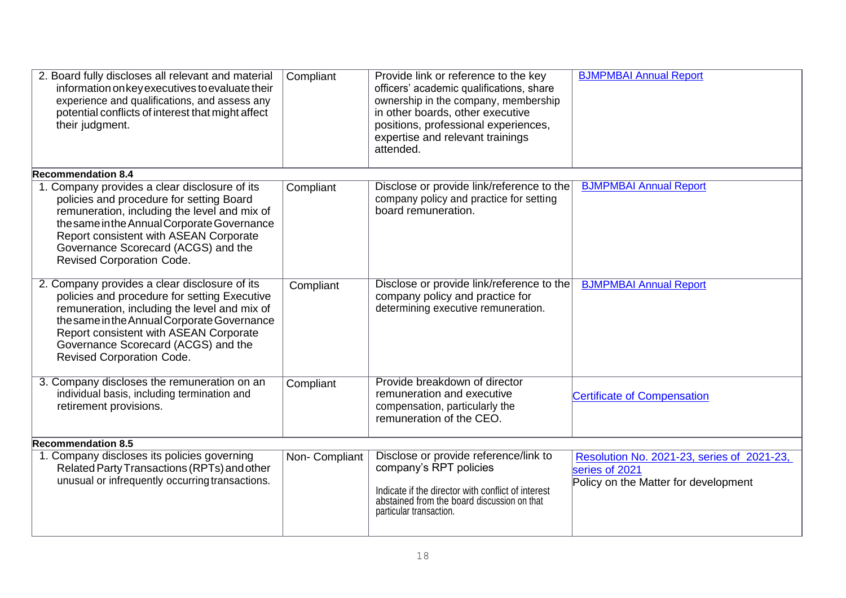| 2. Board fully discloses all relevant and material<br>information on key executives to evaluate their<br>experience and qualifications, and assess any<br>potential conflicts of interest that might affect<br>their judgment.                                                                                    | Compliant      | Provide link or reference to the key<br>officers' academic qualifications, share<br>ownership in the company, membership<br>in other boards, other executive<br>positions, professional experiences,<br>expertise and relevant trainings<br>attended. | <b>BJMPMBAI Annual Report</b>                                                                        |
|-------------------------------------------------------------------------------------------------------------------------------------------------------------------------------------------------------------------------------------------------------------------------------------------------------------------|----------------|-------------------------------------------------------------------------------------------------------------------------------------------------------------------------------------------------------------------------------------------------------|------------------------------------------------------------------------------------------------------|
| <b>Recommendation 8.4</b>                                                                                                                                                                                                                                                                                         |                |                                                                                                                                                                                                                                                       |                                                                                                      |
| 1. Company provides a clear disclosure of its<br>policies and procedure for setting Board<br>remuneration, including the level and mix of<br>the same in the Annual Corporate Governance<br>Report consistent with ASEAN Corporate<br>Governance Scorecard (ACGS) and the<br><b>Revised Corporation Code.</b>     | Compliant      | Disclose or provide link/reference to the<br>company policy and practice for setting<br>board remuneration.                                                                                                                                           | <b>BJMPMBAI Annual Report</b>                                                                        |
| 2. Company provides a clear disclosure of its<br>policies and procedure for setting Executive<br>remuneration, including the level and mix of<br>the same in the Annual Corporate Governance<br>Report consistent with ASEAN Corporate<br>Governance Scorecard (ACGS) and the<br><b>Revised Corporation Code.</b> | Compliant      | Disclose or provide link/reference to the<br>company policy and practice for<br>determining executive remuneration.                                                                                                                                   | <b>BJMPMBAI Annual Report</b>                                                                        |
| 3. Company discloses the remuneration on an<br>individual basis, including termination and<br>retirement provisions.                                                                                                                                                                                              | Compliant      | Provide breakdown of director<br>remuneration and executive<br>compensation, particularly the<br>remuneration of the CEO.                                                                                                                             | <b>Certificate of Compensation</b>                                                                   |
| <b>Recommendation 8.5</b>                                                                                                                                                                                                                                                                                         |                |                                                                                                                                                                                                                                                       |                                                                                                      |
| 1. Company discloses its policies governing<br>Related Party Transactions (RPTs) and other<br>unusual or infrequently occurring transactions.                                                                                                                                                                     | Non- Compliant | Disclose or provide reference/link to<br>company's RPT policies<br>Indicate if the director with conflict of interest<br>abstained from the board discussion on that<br>particular transaction.                                                       | Resolution No. 2021-23, series of 2021-23,<br>series of 2021<br>Policy on the Matter for development |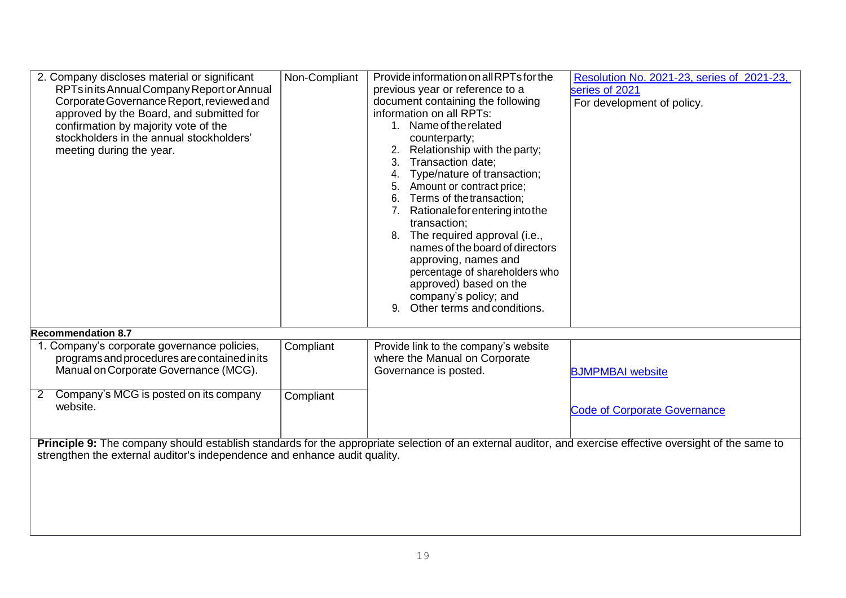| RPTs in its Annual Company Report or Annual<br>previous year or reference to a<br>series of 2021<br>Corporate Governance Report, reviewed and<br>document containing the following<br>For development of policy.<br>information on all RPTs:<br>approved by the Board, and submitted for<br>1. Name of the related<br>confirmation by majority vote of the<br>stockholders in the annual stockholders'<br>counterparty;<br>Relationship with the party;<br>meeting during the year.<br>Transaction date;<br>3.<br>Type/nature of transaction;<br>4.<br>Amount or contract price;<br>Terms of the transaction;<br>6.<br>7. Rationale for entering into the<br>transaction;<br>8. The required approval (i.e.,<br>names of the board of directors<br>approving, names and<br>percentage of shareholders who<br>approved) based on the<br>company's policy; and<br>Other terms and conditions.<br>9.<br><b>Recommendation 8.7</b><br>1. Company's corporate governance policies,<br>Compliant<br>Provide link to the company's website<br>programs and procedures are contained in its<br>where the Manual on Corporate<br>Manual on Corporate Governance (MCG).<br>Governance is posted.<br><b>BJMPMBAI</b> website<br>Company's MCG is posted on its company<br>$\overline{2}$<br>Compliant<br>website.<br><b>Code of Corporate Governance</b><br>Principle 9: The company should establish standards for the appropriate selection of an external auditor, and exercise effective oversight of the same to<br>strengthen the external auditor's independence and enhance audit quality. | 2. Company discloses material or significant | Non-Compliant | Provide information on all RPTs for the | Resolution No. 2021-23, series of 2021-23, |
|-----------------------------------------------------------------------------------------------------------------------------------------------------------------------------------------------------------------------------------------------------------------------------------------------------------------------------------------------------------------------------------------------------------------------------------------------------------------------------------------------------------------------------------------------------------------------------------------------------------------------------------------------------------------------------------------------------------------------------------------------------------------------------------------------------------------------------------------------------------------------------------------------------------------------------------------------------------------------------------------------------------------------------------------------------------------------------------------------------------------------------------------------------------------------------------------------------------------------------------------------------------------------------------------------------------------------------------------------------------------------------------------------------------------------------------------------------------------------------------------------------------------------------------------------------------------------------------------|----------------------------------------------|---------------|-----------------------------------------|--------------------------------------------|
|                                                                                                                                                                                                                                                                                                                                                                                                                                                                                                                                                                                                                                                                                                                                                                                                                                                                                                                                                                                                                                                                                                                                                                                                                                                                                                                                                                                                                                                                                                                                                                                         |                                              |               |                                         |                                            |
|                                                                                                                                                                                                                                                                                                                                                                                                                                                                                                                                                                                                                                                                                                                                                                                                                                                                                                                                                                                                                                                                                                                                                                                                                                                                                                                                                                                                                                                                                                                                                                                         |                                              |               |                                         |                                            |
|                                                                                                                                                                                                                                                                                                                                                                                                                                                                                                                                                                                                                                                                                                                                                                                                                                                                                                                                                                                                                                                                                                                                                                                                                                                                                                                                                                                                                                                                                                                                                                                         |                                              |               |                                         |                                            |
|                                                                                                                                                                                                                                                                                                                                                                                                                                                                                                                                                                                                                                                                                                                                                                                                                                                                                                                                                                                                                                                                                                                                                                                                                                                                                                                                                                                                                                                                                                                                                                                         |                                              |               |                                         |                                            |
|                                                                                                                                                                                                                                                                                                                                                                                                                                                                                                                                                                                                                                                                                                                                                                                                                                                                                                                                                                                                                                                                                                                                                                                                                                                                                                                                                                                                                                                                                                                                                                                         |                                              |               |                                         |                                            |
|                                                                                                                                                                                                                                                                                                                                                                                                                                                                                                                                                                                                                                                                                                                                                                                                                                                                                                                                                                                                                                                                                                                                                                                                                                                                                                                                                                                                                                                                                                                                                                                         |                                              |               |                                         |                                            |
|                                                                                                                                                                                                                                                                                                                                                                                                                                                                                                                                                                                                                                                                                                                                                                                                                                                                                                                                                                                                                                                                                                                                                                                                                                                                                                                                                                                                                                                                                                                                                                                         |                                              |               |                                         |                                            |
|                                                                                                                                                                                                                                                                                                                                                                                                                                                                                                                                                                                                                                                                                                                                                                                                                                                                                                                                                                                                                                                                                                                                                                                                                                                                                                                                                                                                                                                                                                                                                                                         |                                              |               |                                         |                                            |
|                                                                                                                                                                                                                                                                                                                                                                                                                                                                                                                                                                                                                                                                                                                                                                                                                                                                                                                                                                                                                                                                                                                                                                                                                                                                                                                                                                                                                                                                                                                                                                                         |                                              |               |                                         |                                            |
|                                                                                                                                                                                                                                                                                                                                                                                                                                                                                                                                                                                                                                                                                                                                                                                                                                                                                                                                                                                                                                                                                                                                                                                                                                                                                                                                                                                                                                                                                                                                                                                         |                                              |               |                                         |                                            |
|                                                                                                                                                                                                                                                                                                                                                                                                                                                                                                                                                                                                                                                                                                                                                                                                                                                                                                                                                                                                                                                                                                                                                                                                                                                                                                                                                                                                                                                                                                                                                                                         |                                              |               |                                         |                                            |
|                                                                                                                                                                                                                                                                                                                                                                                                                                                                                                                                                                                                                                                                                                                                                                                                                                                                                                                                                                                                                                                                                                                                                                                                                                                                                                                                                                                                                                                                                                                                                                                         |                                              |               |                                         |                                            |
|                                                                                                                                                                                                                                                                                                                                                                                                                                                                                                                                                                                                                                                                                                                                                                                                                                                                                                                                                                                                                                                                                                                                                                                                                                                                                                                                                                                                                                                                                                                                                                                         |                                              |               |                                         |                                            |
|                                                                                                                                                                                                                                                                                                                                                                                                                                                                                                                                                                                                                                                                                                                                                                                                                                                                                                                                                                                                                                                                                                                                                                                                                                                                                                                                                                                                                                                                                                                                                                                         |                                              |               |                                         |                                            |
|                                                                                                                                                                                                                                                                                                                                                                                                                                                                                                                                                                                                                                                                                                                                                                                                                                                                                                                                                                                                                                                                                                                                                                                                                                                                                                                                                                                                                                                                                                                                                                                         |                                              |               |                                         |                                            |
|                                                                                                                                                                                                                                                                                                                                                                                                                                                                                                                                                                                                                                                                                                                                                                                                                                                                                                                                                                                                                                                                                                                                                                                                                                                                                                                                                                                                                                                                                                                                                                                         |                                              |               |                                         |                                            |
|                                                                                                                                                                                                                                                                                                                                                                                                                                                                                                                                                                                                                                                                                                                                                                                                                                                                                                                                                                                                                                                                                                                                                                                                                                                                                                                                                                                                                                                                                                                                                                                         |                                              |               |                                         |                                            |
|                                                                                                                                                                                                                                                                                                                                                                                                                                                                                                                                                                                                                                                                                                                                                                                                                                                                                                                                                                                                                                                                                                                                                                                                                                                                                                                                                                                                                                                                                                                                                                                         |                                              |               |                                         |                                            |
|                                                                                                                                                                                                                                                                                                                                                                                                                                                                                                                                                                                                                                                                                                                                                                                                                                                                                                                                                                                                                                                                                                                                                                                                                                                                                                                                                                                                                                                                                                                                                                                         |                                              |               |                                         |                                            |
|                                                                                                                                                                                                                                                                                                                                                                                                                                                                                                                                                                                                                                                                                                                                                                                                                                                                                                                                                                                                                                                                                                                                                                                                                                                                                                                                                                                                                                                                                                                                                                                         |                                              |               |                                         |                                            |
|                                                                                                                                                                                                                                                                                                                                                                                                                                                                                                                                                                                                                                                                                                                                                                                                                                                                                                                                                                                                                                                                                                                                                                                                                                                                                                                                                                                                                                                                                                                                                                                         |                                              |               |                                         |                                            |
|                                                                                                                                                                                                                                                                                                                                                                                                                                                                                                                                                                                                                                                                                                                                                                                                                                                                                                                                                                                                                                                                                                                                                                                                                                                                                                                                                                                                                                                                                                                                                                                         |                                              |               |                                         |                                            |
|                                                                                                                                                                                                                                                                                                                                                                                                                                                                                                                                                                                                                                                                                                                                                                                                                                                                                                                                                                                                                                                                                                                                                                                                                                                                                                                                                                                                                                                                                                                                                                                         |                                              |               |                                         |                                            |
|                                                                                                                                                                                                                                                                                                                                                                                                                                                                                                                                                                                                                                                                                                                                                                                                                                                                                                                                                                                                                                                                                                                                                                                                                                                                                                                                                                                                                                                                                                                                                                                         |                                              |               |                                         |                                            |
|                                                                                                                                                                                                                                                                                                                                                                                                                                                                                                                                                                                                                                                                                                                                                                                                                                                                                                                                                                                                                                                                                                                                                                                                                                                                                                                                                                                                                                                                                                                                                                                         |                                              |               |                                         |                                            |
|                                                                                                                                                                                                                                                                                                                                                                                                                                                                                                                                                                                                                                                                                                                                                                                                                                                                                                                                                                                                                                                                                                                                                                                                                                                                                                                                                                                                                                                                                                                                                                                         |                                              |               |                                         |                                            |
|                                                                                                                                                                                                                                                                                                                                                                                                                                                                                                                                                                                                                                                                                                                                                                                                                                                                                                                                                                                                                                                                                                                                                                                                                                                                                                                                                                                                                                                                                                                                                                                         |                                              |               |                                         |                                            |
|                                                                                                                                                                                                                                                                                                                                                                                                                                                                                                                                                                                                                                                                                                                                                                                                                                                                                                                                                                                                                                                                                                                                                                                                                                                                                                                                                                                                                                                                                                                                                                                         |                                              |               |                                         |                                            |
|                                                                                                                                                                                                                                                                                                                                                                                                                                                                                                                                                                                                                                                                                                                                                                                                                                                                                                                                                                                                                                                                                                                                                                                                                                                                                                                                                                                                                                                                                                                                                                                         |                                              |               |                                         |                                            |
|                                                                                                                                                                                                                                                                                                                                                                                                                                                                                                                                                                                                                                                                                                                                                                                                                                                                                                                                                                                                                                                                                                                                                                                                                                                                                                                                                                                                                                                                                                                                                                                         |                                              |               |                                         |                                            |
|                                                                                                                                                                                                                                                                                                                                                                                                                                                                                                                                                                                                                                                                                                                                                                                                                                                                                                                                                                                                                                                                                                                                                                                                                                                                                                                                                                                                                                                                                                                                                                                         |                                              |               |                                         |                                            |
|                                                                                                                                                                                                                                                                                                                                                                                                                                                                                                                                                                                                                                                                                                                                                                                                                                                                                                                                                                                                                                                                                                                                                                                                                                                                                                                                                                                                                                                                                                                                                                                         |                                              |               |                                         |                                            |
|                                                                                                                                                                                                                                                                                                                                                                                                                                                                                                                                                                                                                                                                                                                                                                                                                                                                                                                                                                                                                                                                                                                                                                                                                                                                                                                                                                                                                                                                                                                                                                                         |                                              |               |                                         |                                            |
|                                                                                                                                                                                                                                                                                                                                                                                                                                                                                                                                                                                                                                                                                                                                                                                                                                                                                                                                                                                                                                                                                                                                                                                                                                                                                                                                                                                                                                                                                                                                                                                         |                                              |               |                                         |                                            |
|                                                                                                                                                                                                                                                                                                                                                                                                                                                                                                                                                                                                                                                                                                                                                                                                                                                                                                                                                                                                                                                                                                                                                                                                                                                                                                                                                                                                                                                                                                                                                                                         |                                              |               |                                         |                                            |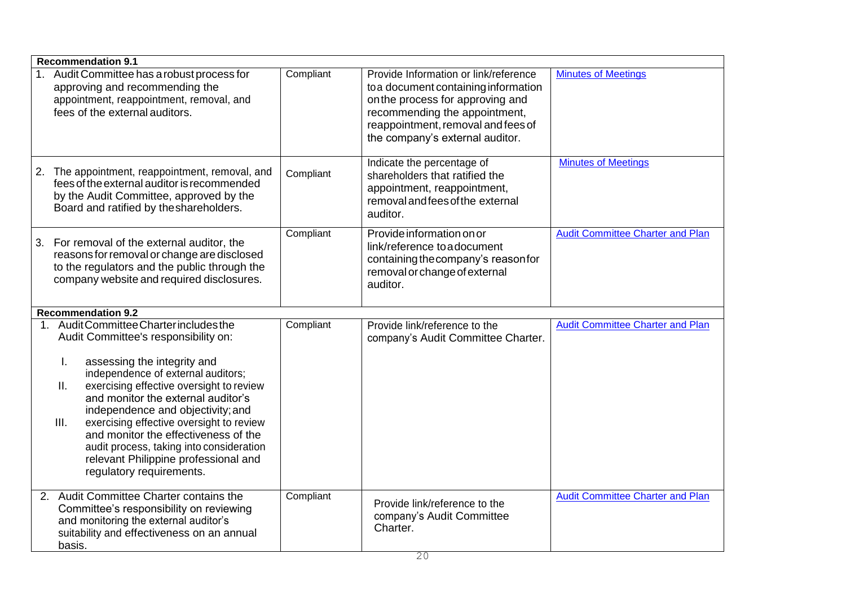| <b>Recommendation 9.1</b>                                                                                                                                                                                                                                                                                                                                                                                                                                                                           |           |                                                                                                                                                                                                                             |                                         |
|-----------------------------------------------------------------------------------------------------------------------------------------------------------------------------------------------------------------------------------------------------------------------------------------------------------------------------------------------------------------------------------------------------------------------------------------------------------------------------------------------------|-----------|-----------------------------------------------------------------------------------------------------------------------------------------------------------------------------------------------------------------------------|-----------------------------------------|
| 1. Audit Committee has a robust process for<br>approving and recommending the<br>appointment, reappointment, removal, and<br>fees of the external auditors.                                                                                                                                                                                                                                                                                                                                         | Compliant | Provide Information or link/reference<br>to a document containing information<br>on the process for approving and<br>recommending the appointment,<br>reappointment, removal and fees of<br>the company's external auditor. | <b>Minutes of Meetings</b>              |
| The appointment, reappointment, removal, and<br>2.<br>fees of the external auditor is recommended<br>by the Audit Committee, approved by the<br>Board and ratified by the shareholders.                                                                                                                                                                                                                                                                                                             | Compliant | Indicate the percentage of<br>shareholders that ratified the<br>appointment, reappointment,<br>removal and fees of the external<br>auditor.                                                                                 | <b>Minutes of Meetings</b>              |
| For removal of the external auditor, the<br>3.<br>reasons for removal or change are disclosed<br>to the regulators and the public through the<br>company website and required disclosures.                                                                                                                                                                                                                                                                                                          | Compliant | Provide information on or<br>link/reference to a document<br>containing the company's reason for<br>removal or change of external<br>auditor.                                                                               | <b>Audit Committee Charter and Plan</b> |
| <b>Recommendation 9.2</b>                                                                                                                                                                                                                                                                                                                                                                                                                                                                           |           |                                                                                                                                                                                                                             |                                         |
| 1. Audit Committee Charter includes the<br>Audit Committee's responsibility on:<br>assessing the integrity and<br>L.<br>independence of external auditors;<br>exercising effective oversight to review<br>Ш.<br>and monitor the external auditor's<br>independence and objectivity; and<br>exercising effective oversight to review<br>III.<br>and monitor the effectiveness of the<br>audit process, taking into consideration<br>relevant Philippine professional and<br>regulatory requirements. | Compliant | Provide link/reference to the<br>company's Audit Committee Charter.                                                                                                                                                         | <b>Audit Committee Charter and Plan</b> |
| 2. Audit Committee Charter contains the<br>Committee's responsibility on reviewing<br>and monitoring the external auditor's<br>suitability and effectiveness on an annual<br>basis.                                                                                                                                                                                                                                                                                                                 | Compliant | Provide link/reference to the<br>company's Audit Committee<br>Charter.                                                                                                                                                      | <b>Audit Committee Charter and Plan</b> |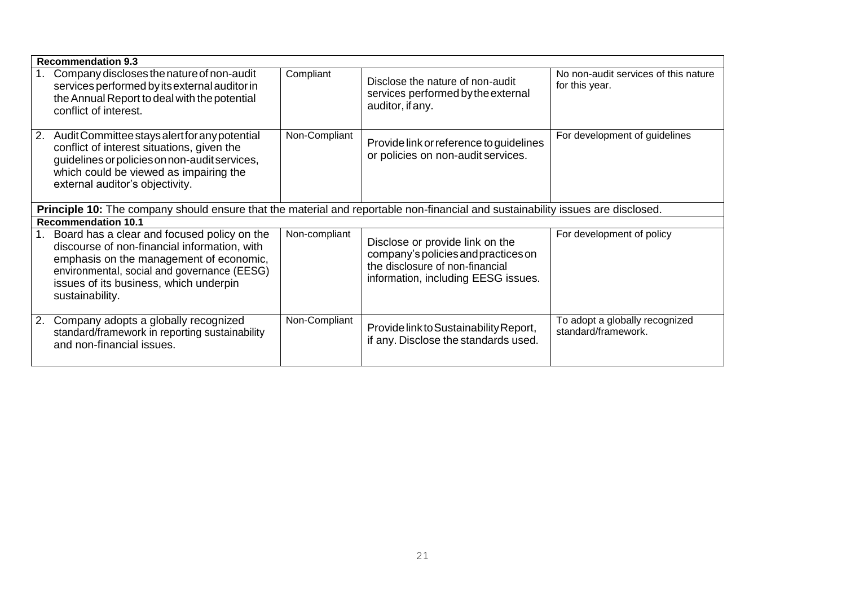| <b>Recommendation 9.3</b>                                                                                                                                                                                                                          |               |                                                                                                                                                  |                                                        |
|----------------------------------------------------------------------------------------------------------------------------------------------------------------------------------------------------------------------------------------------------|---------------|--------------------------------------------------------------------------------------------------------------------------------------------------|--------------------------------------------------------|
| Company discloses the nature of non-audit<br>services performed by its external auditor in<br>the Annual Report to deal with the potential<br>conflict of interest.                                                                                | Compliant     | Disclose the nature of non-audit<br>services performed by the external<br>auditor, if any.                                                       | No non-audit services of this nature<br>for this year. |
| Audit Committee stays alert for any potential<br>2.<br>conflict of interest situations, given the<br>guidelines or policies on non-audit services,<br>which could be viewed as impairing the<br>external auditor's objectivity.                    | Non-Compliant | Provide link or reference to guidelines<br>or policies on non-audit services.                                                                    | For development of guidelines                          |
| Principle 10: The company should ensure that the material and reportable non-financial and sustainability issues are disclosed.                                                                                                                    |               |                                                                                                                                                  |                                                        |
| <b>Recommendation 10.1</b>                                                                                                                                                                                                                         |               |                                                                                                                                                  |                                                        |
| Board has a clear and focused policy on the<br>discourse of non-financial information, with<br>emphasis on the management of economic,<br>environmental, social and governance (EESG)<br>issues of its business, which underpin<br>sustainability. | Non-compliant | Disclose or provide link on the<br>company's policies and practices on<br>the disclosure of non-financial<br>information, including EESG issues. | For development of policy                              |
| Company adopts a globally recognized<br>standard/framework in reporting sustainability<br>and non-financial issues.                                                                                                                                | Non-Compliant | Provide link to Sustainability Report,<br>if any. Disclose the standards used.                                                                   | To adopt a globally recognized<br>standard/framework.  |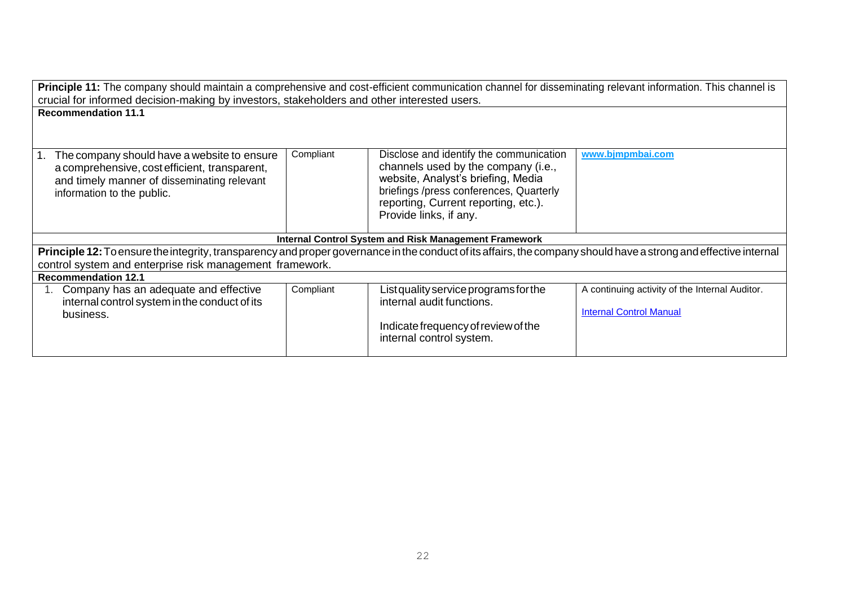| Principle 11: The company should maintain a comprehensive and cost-efficient communication channel for disseminating relevant information. This channel is       |           |                                                                                |                                                |  |
|------------------------------------------------------------------------------------------------------------------------------------------------------------------|-----------|--------------------------------------------------------------------------------|------------------------------------------------|--|
| crucial for informed decision-making by investors, stakeholders and other interested users.                                                                      |           |                                                                                |                                                |  |
| <b>Recommendation 11.1</b>                                                                                                                                       |           |                                                                                |                                                |  |
|                                                                                                                                                                  |           |                                                                                |                                                |  |
|                                                                                                                                                                  |           |                                                                                |                                                |  |
| The company should have a website to ensure                                                                                                                      | Compliant | Disclose and identify the communication<br>channels used by the company (i.e., | www.bjmpmbai.com                               |  |
| a comprehensive, cost efficient, transparent,<br>and timely manner of disseminating relevant                                                                     |           | website, Analyst's briefing, Media                                             |                                                |  |
| information to the public.                                                                                                                                       |           | briefings /press conferences, Quarterly                                        |                                                |  |
|                                                                                                                                                                  |           | reporting, Current reporting, etc.).                                           |                                                |  |
|                                                                                                                                                                  |           | Provide links, if any.                                                         |                                                |  |
|                                                                                                                                                                  |           |                                                                                |                                                |  |
|                                                                                                                                                                  |           | <b>Internal Control System and Risk Management Framework</b>                   |                                                |  |
| Principle 12: To ensure the integrity, transparency and proper governance in the conduct of its affairs, the company should have a strong and effective internal |           |                                                                                |                                                |  |
| control system and enterprise risk management framework.                                                                                                         |           |                                                                                |                                                |  |
| <b>Recommendation 12.1</b>                                                                                                                                       |           |                                                                                |                                                |  |
| Company has an adequate and effective                                                                                                                            | Compliant | List quality service programs for the                                          | A continuing activity of the Internal Auditor. |  |
| internal control system in the conduct of its                                                                                                                    |           | internal audit functions.                                                      | <b>Internal Control Manual</b>                 |  |
| business.                                                                                                                                                        |           | Indicate frequency of review of the                                            |                                                |  |
|                                                                                                                                                                  |           | internal control system.                                                       |                                                |  |
|                                                                                                                                                                  |           |                                                                                |                                                |  |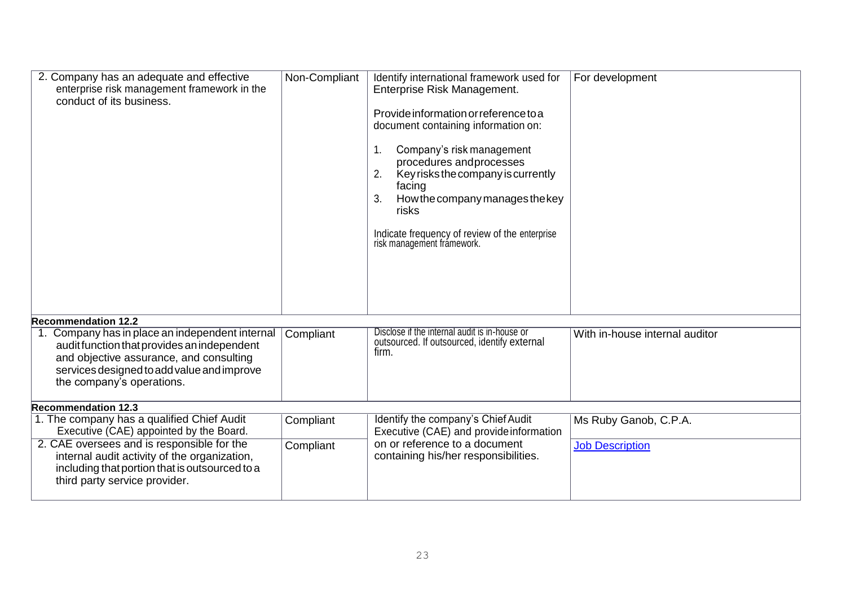| 2. Company has an adequate and effective<br>enterprise risk management framework in the<br>conduct of its business.                                                           | Non-Compliant | Identify international framework used for<br>Enterprise Risk Management.<br>Provide information or reference to a<br>document containing information on:<br>Company's risk management<br>1.<br>procedures andprocesses<br>Key risks the company is currently<br>2.<br>facing<br>How the company manages the key<br>3.<br>risks<br>Indicate frequency of review of the enterprise<br>risk management framework. | For development                |
|-------------------------------------------------------------------------------------------------------------------------------------------------------------------------------|---------------|----------------------------------------------------------------------------------------------------------------------------------------------------------------------------------------------------------------------------------------------------------------------------------------------------------------------------------------------------------------------------------------------------------------|--------------------------------|
| <b>Recommendation 12.2</b><br>1. Company has in place an independent internal                                                                                                 |               | Disclose if the internal audit is in-house or                                                                                                                                                                                                                                                                                                                                                                  |                                |
| audit function that provides an independent<br>and objective assurance, and consulting<br>services designed to add value and improve<br>the company's operations.             | Compliant     | outsourced. If outsourced, identify external<br>firm.                                                                                                                                                                                                                                                                                                                                                          | With in-house internal auditor |
| Recommendation 12.3                                                                                                                                                           |               |                                                                                                                                                                                                                                                                                                                                                                                                                |                                |
| 1. The company has a qualified Chief Audit<br>Executive (CAE) appointed by the Board.                                                                                         | Compliant     | Identify the company's Chief Audit<br>Executive (CAE) and provide information                                                                                                                                                                                                                                                                                                                                  | Ms Ruby Ganob, C.P.A.          |
| 2. CAE oversees and is responsible for the<br>internal audit activity of the organization,<br>including that portion that is outsourced to a<br>third party service provider. | Compliant     | on or reference to a document<br>containing his/her responsibilities.                                                                                                                                                                                                                                                                                                                                          | <b>Job Description</b>         |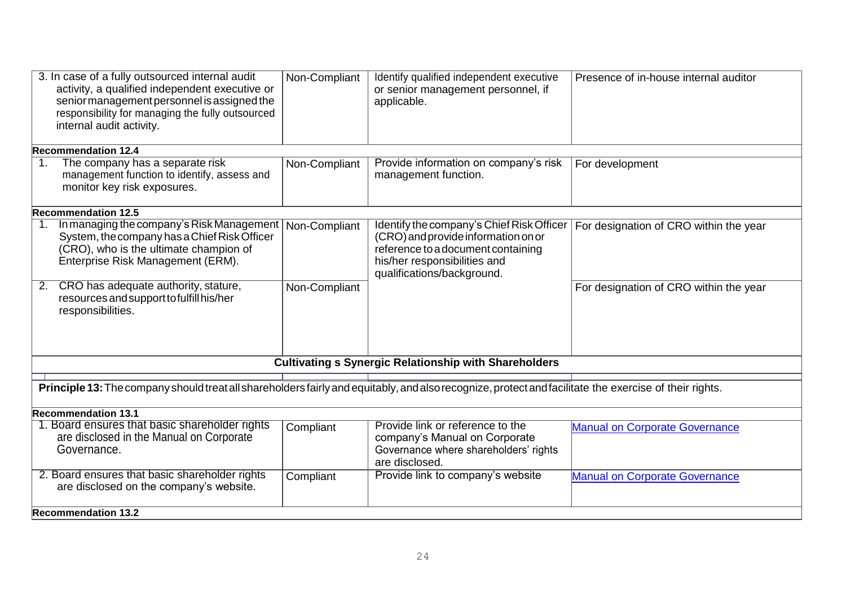| 3. In case of a fully outsourced internal audit<br>activity, a qualified independent executive or<br>senior management personnel is assigned the<br>responsibility for managing the fully outsourced<br>internal audit activity. | Non-Compliant | Identify qualified independent executive<br>or senior management personnel, if<br>applicable.                                                                                        | Presence of in-house internal auditor  |
|----------------------------------------------------------------------------------------------------------------------------------------------------------------------------------------------------------------------------------|---------------|--------------------------------------------------------------------------------------------------------------------------------------------------------------------------------------|----------------------------------------|
| <b>Recommendation 12.4</b>                                                                                                                                                                                                       |               |                                                                                                                                                                                      |                                        |
| The company has a separate risk<br>$\mathbf{1}$ .<br>management function to identify, assess and<br>monitor key risk exposures.                                                                                                  | Non-Compliant | Provide information on company's risk<br>management function.                                                                                                                        | For development                        |
| <b>Recommendation 12.5</b>                                                                                                                                                                                                       |               |                                                                                                                                                                                      |                                        |
| In managing the company's Risk Management<br>1 <sub>1</sub><br>System, the company has a Chief Risk Officer<br>(CRO), who is the ultimate champion of<br>Enterprise Risk Management (ERM).                                       | Non-Compliant | Identify the company's Chief Risk Officer<br>(CRO) and provide information on or<br>reference to a document containing<br>his/her responsibilities and<br>qualifications/background. | For designation of CRO within the year |
| CRO has adequate authority, stature,<br>2.<br>resources and support to fulfill his/her<br>responsibilities.                                                                                                                      | Non-Compliant |                                                                                                                                                                                      | For designation of CRO within the year |
|                                                                                                                                                                                                                                  |               | <b>Cultivating s Synergic Relationship with Shareholders</b>                                                                                                                         |                                        |
|                                                                                                                                                                                                                                  |               |                                                                                                                                                                                      |                                        |
| Principle 13: The company should treat all shareholders fairly and equitably, and also recognize, protect and facilitate the exercise of their rights.                                                                           |               |                                                                                                                                                                                      |                                        |
| <b>Recommendation 13.1</b>                                                                                                                                                                                                       |               |                                                                                                                                                                                      |                                        |
| 1. Board ensures that basic shareholder rights<br>are disclosed in the Manual on Corporate<br>Governance.                                                                                                                        | Compliant     | Provide link or reference to the<br>company's Manual on Corporate<br>Governance where shareholders' rights<br>are disclosed.                                                         | <b>Manual on Corporate Governance</b>  |
| 2. Board ensures that basic shareholder rights<br>are disclosed on the company's website.                                                                                                                                        | Compliant     | Provide link to company's website                                                                                                                                                    | <b>Manual on Corporate Governance</b>  |
| <b>Recommendation 13.2</b>                                                                                                                                                                                                       |               |                                                                                                                                                                                      |                                        |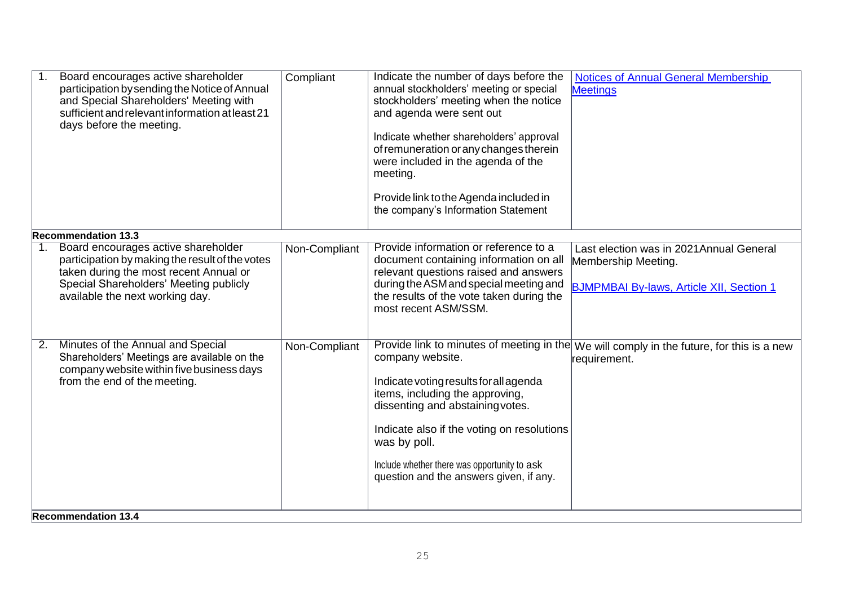|                | Board encourages active shareholder<br>participation by sending the Notice of Annual<br>and Special Shareholders' Meeting with<br>sufficient and relevant information at least 21<br>days before the meeting. | Compliant     | Indicate the number of days before the<br>annual stockholders' meeting or special<br>stockholders' meeting when the notice<br>and agenda were sent out<br>Indicate whether shareholders' approval<br>of remuneration or any changes therein<br>were included in the agenda of the<br>meeting.<br>Provide link to the Agenda included in<br>the company's Information Statement | <b>Notices of Annual General Membership</b><br><b>Meetings</b>                                                     |  |
|----------------|---------------------------------------------------------------------------------------------------------------------------------------------------------------------------------------------------------------|---------------|--------------------------------------------------------------------------------------------------------------------------------------------------------------------------------------------------------------------------------------------------------------------------------------------------------------------------------------------------------------------------------|--------------------------------------------------------------------------------------------------------------------|--|
|                | <b>Recommendation 13.3</b>                                                                                                                                                                                    |               |                                                                                                                                                                                                                                                                                                                                                                                |                                                                                                                    |  |
| $\mathbf{1}$ . | Board encourages active shareholder<br>participation by making the result of the votes<br>taken during the most recent Annual or<br>Special Shareholders' Meeting publicly<br>available the next working day. | Non-Compliant | Provide information or reference to a<br>document containing information on all<br>relevant questions raised and answers<br>during the ASM and special meeting and<br>the results of the vote taken during the<br>most recent ASM/SSM.                                                                                                                                         | Last election was in 2021 Annual General<br>Membership Meeting.<br><b>BJMPMBAI By-laws, Article XII, Section 1</b> |  |
| 2.             | Minutes of the Annual and Special<br>Shareholders' Meetings are available on the<br>company website within five business days<br>from the end of the meeting.                                                 | Non-Compliant | company website.<br>Indicate voting results for all agenda<br>items, including the approving,<br>dissenting and abstaining votes.<br>Indicate also if the voting on resolutions<br>was by poll.<br>Include whether there was opportunity to ask<br>question and the answers given, if any.                                                                                     | Provide link to minutes of meeting in the We will comply in the future, for this is a new<br>requirement.          |  |
|                | <b>Recommendation 13.4</b>                                                                                                                                                                                    |               |                                                                                                                                                                                                                                                                                                                                                                                |                                                                                                                    |  |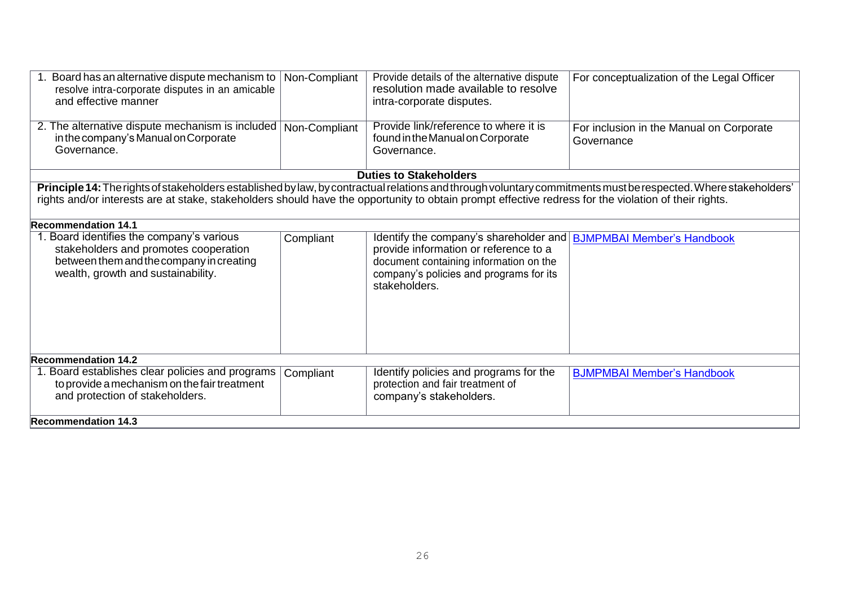| 1. Board has an alternative dispute mechanism to<br>resolve intra-corporate disputes in an amicable<br>and effective manner                                                                                                                                                                                                                          | Non-Compliant | Provide details of the alternative dispute<br>resolution made available to resolve<br>intra-corporate disputes.                                                                       | For conceptualization of the Legal Officer             |
|------------------------------------------------------------------------------------------------------------------------------------------------------------------------------------------------------------------------------------------------------------------------------------------------------------------------------------------------------|---------------|---------------------------------------------------------------------------------------------------------------------------------------------------------------------------------------|--------------------------------------------------------|
| 2. The alternative dispute mechanism is included<br>in the company's Manual on Corporate<br>Governance.                                                                                                                                                                                                                                              | Non-Compliant | Provide link/reference to where it is<br>found in the Manual on Corporate<br>Governance.                                                                                              | For inclusion in the Manual on Corporate<br>Governance |
|                                                                                                                                                                                                                                                                                                                                                      |               | <b>Duties to Stakeholders</b>                                                                                                                                                         |                                                        |
| Principle 14: The rights of stakeholders established by law, by contractual relations and through voluntary commitments must be respected. Where stakeholders'<br>rights and/or interests are at stake, stakeholders should have the opportunity to obtain prompt effective redress for the violation of their rights.<br><b>Recommendation 14.1</b> |               |                                                                                                                                                                                       |                                                        |
| 1. Board identifies the company's various<br>stakeholders and promotes cooperation<br>between them and the company in creating<br>wealth, growth and sustainability.                                                                                                                                                                                 | Compliant     | Identify the company's shareholder and<br>provide information or reference to a<br>document containing information on the<br>company's policies and programs for its<br>stakeholders. | <b>BJMPMBAI Member's Handbook</b>                      |
| <b>Recommendation 14.2</b><br>1. Board establishes clear policies and programs<br>to provide a mechanism on the fair treatment<br>and protection of stakeholders.<br><b>Recommendation 14.3</b>                                                                                                                                                      | Compliant     | Identify policies and programs for the<br>protection and fair treatment of<br>company's stakeholders.                                                                                 | <b>BJMPMBAI Member's Handbook</b>                      |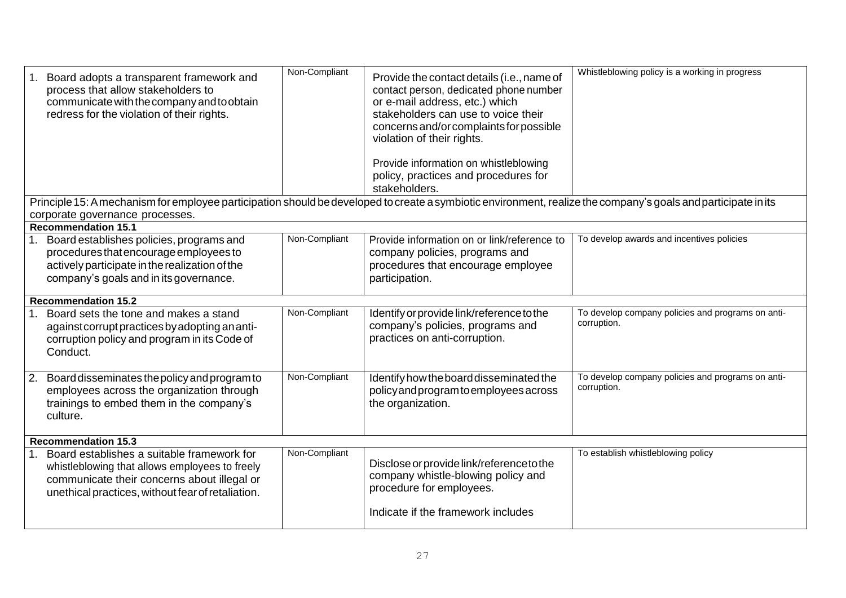| Board adopts a transparent framework and<br>process that allow stakeholders to<br>communicate with the company and to obtain<br>redress for the violation of their rights.                        | Non-Compliant | Provide the contact details (i.e., name of<br>contact person, dedicated phone number<br>or e-mail address, etc.) which<br>stakeholders can use to voice their<br>concerns and/or complaints for possible<br>violation of their rights.<br>Provide information on whistleblowing<br>policy, practices and procedures for<br>stakeholders. | Whistleblowing policy is a working in progress                   |  |
|---------------------------------------------------------------------------------------------------------------------------------------------------------------------------------------------------|---------------|------------------------------------------------------------------------------------------------------------------------------------------------------------------------------------------------------------------------------------------------------------------------------------------------------------------------------------------|------------------------------------------------------------------|--|
| Principle 15: A mechanism for employee participation should be developed to create a symbiotic environment, realize the company's goals and participate in its<br>corporate governance processes. |               |                                                                                                                                                                                                                                                                                                                                          |                                                                  |  |
| <b>Recommendation 15.1</b>                                                                                                                                                                        |               |                                                                                                                                                                                                                                                                                                                                          |                                                                  |  |
| Board establishes policies, programs and<br>procedures that encourage employees to<br>actively participate in the realization of the<br>company's goals and in its governance.                    | Non-Compliant | Provide information on or link/reference to<br>company policies, programs and<br>procedures that encourage employee<br>participation.                                                                                                                                                                                                    | To develop awards and incentives policies                        |  |
| <b>Recommendation 15.2</b>                                                                                                                                                                        |               |                                                                                                                                                                                                                                                                                                                                          |                                                                  |  |
| Board sets the tone and makes a stand<br>against corrupt practices by adopting an anti-<br>corruption policy and program in its Code of<br>Conduct.                                               | Non-Compliant | Identify or provide link/reference to the<br>company's policies, programs and<br>practices on anti-corruption.                                                                                                                                                                                                                           | To develop company policies and programs on anti-<br>corruption. |  |
| Board disseminates the policy and program to<br>2.<br>employees across the organization through<br>trainings to embed them in the company's<br>culture.                                           | Non-Compliant | Identify how the board disseminated the<br>policy and program to employees across<br>the organization.                                                                                                                                                                                                                                   | To develop company policies and programs on anti-<br>corruption. |  |
| <b>Recommendation 15.3</b>                                                                                                                                                                        |               |                                                                                                                                                                                                                                                                                                                                          |                                                                  |  |
| Board establishes a suitable framework for<br>whistleblowing that allows employees to freely<br>communicate their concerns about illegal or<br>unethical practices, without fear of retaliation.  | Non-Compliant | Disclose or provide link/reference to the<br>company whistle-blowing policy and<br>procedure for employees.<br>Indicate if the framework includes                                                                                                                                                                                        | To establish whistleblowing policy                               |  |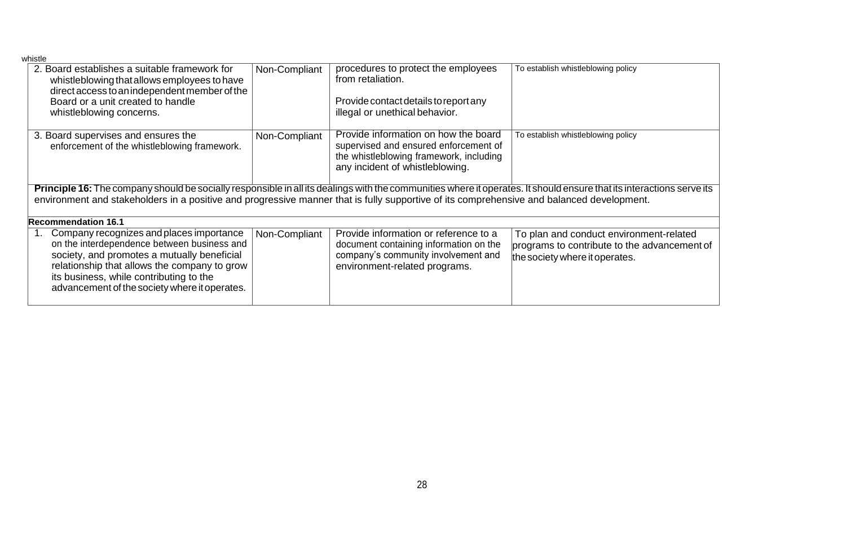| whistle                                                                                                                                                               |               |                                                                                                                                                             |                                              |
|-----------------------------------------------------------------------------------------------------------------------------------------------------------------------|---------------|-------------------------------------------------------------------------------------------------------------------------------------------------------------|----------------------------------------------|
| 2. Board establishes a suitable framework for<br>whistleblowing that allows employees to have                                                                         | Non-Compliant | procedures to protect the employees<br>from retaliation.                                                                                                    | To establish whistleblowing policy           |
| direct access to an independent member of the<br>Board or a unit created to handle<br>whistleblowing concerns.                                                        |               | Provide contact details to report any<br>illegal or unethical behavior.                                                                                     |                                              |
|                                                                                                                                                                       |               |                                                                                                                                                             |                                              |
| 3. Board supervises and ensures the<br>enforcement of the whistleblowing framework.                                                                                   | Non-Compliant | Provide information on how the board<br>supervised and ensured enforcement of<br>the whistleblowing framework, including<br>any incident of whistleblowing. | To establish whistleblowing policy           |
| Principle 16: The company should be socially responsible in all its dealings with the communities where it operates. It should ensure that its interactions serve its |               |                                                                                                                                                             |                                              |
| environment and stakeholders in a positive and progressive manner that is fully supportive of its comprehensive and balanced development.                             |               |                                                                                                                                                             |                                              |
| <b>Recommendation 16.1</b>                                                                                                                                            |               |                                                                                                                                                             |                                              |
| Company recognizes and places importance<br>1.                                                                                                                        | Non-Compliant | Provide information or reference to a                                                                                                                       | To plan and conduct environment-related      |
| on the interdependence between business and                                                                                                                           |               | document containing information on the                                                                                                                      |                                              |
|                                                                                                                                                                       |               |                                                                                                                                                             | programs to contribute to the advancement of |
| society, and promotes a mutually beneficial                                                                                                                           |               | company's community involvement and                                                                                                                         | the society where it operates.               |
| relationship that allows the company to grow                                                                                                                          |               | environment-related programs.                                                                                                                               |                                              |
| its business, while contributing to the                                                                                                                               |               |                                                                                                                                                             |                                              |
| advancement of the society where it operates.                                                                                                                         |               |                                                                                                                                                             |                                              |